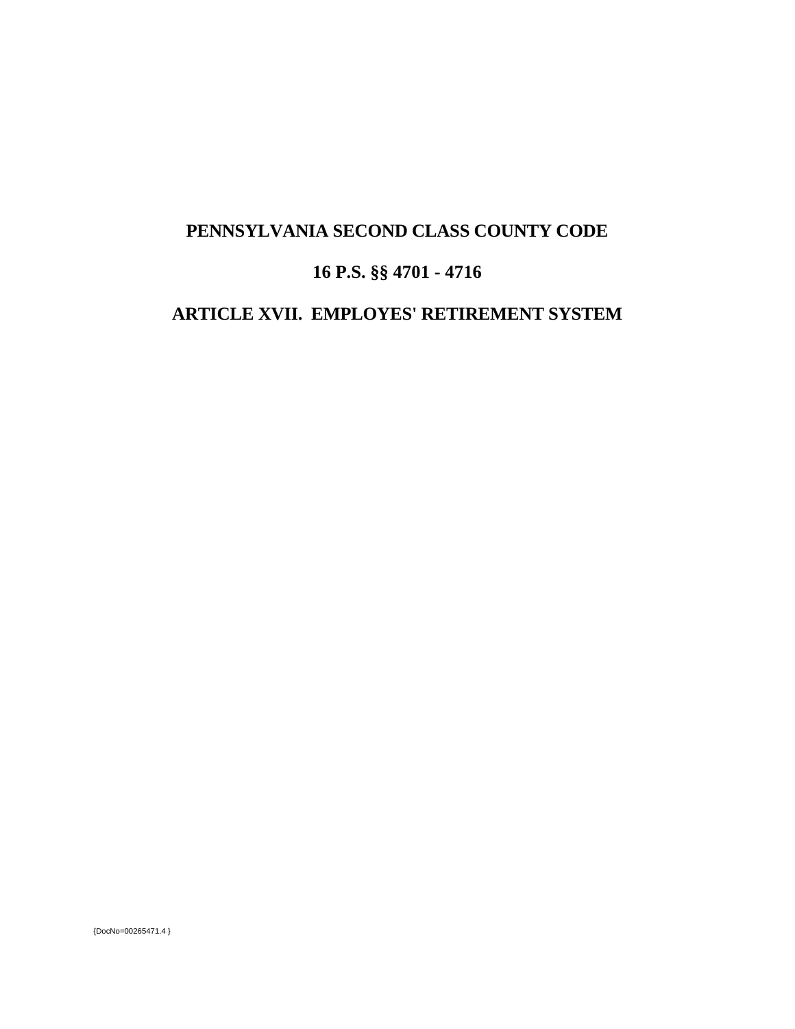## **PENNSYLVANIA SECOND CLASS COUNTY CODE**

# **16 P.S. §§ 4701 - 4716**

## **ARTICLE XVII. EMPLOYES' RETIREMENT SYSTEM**

{DocNo=00265471.4 }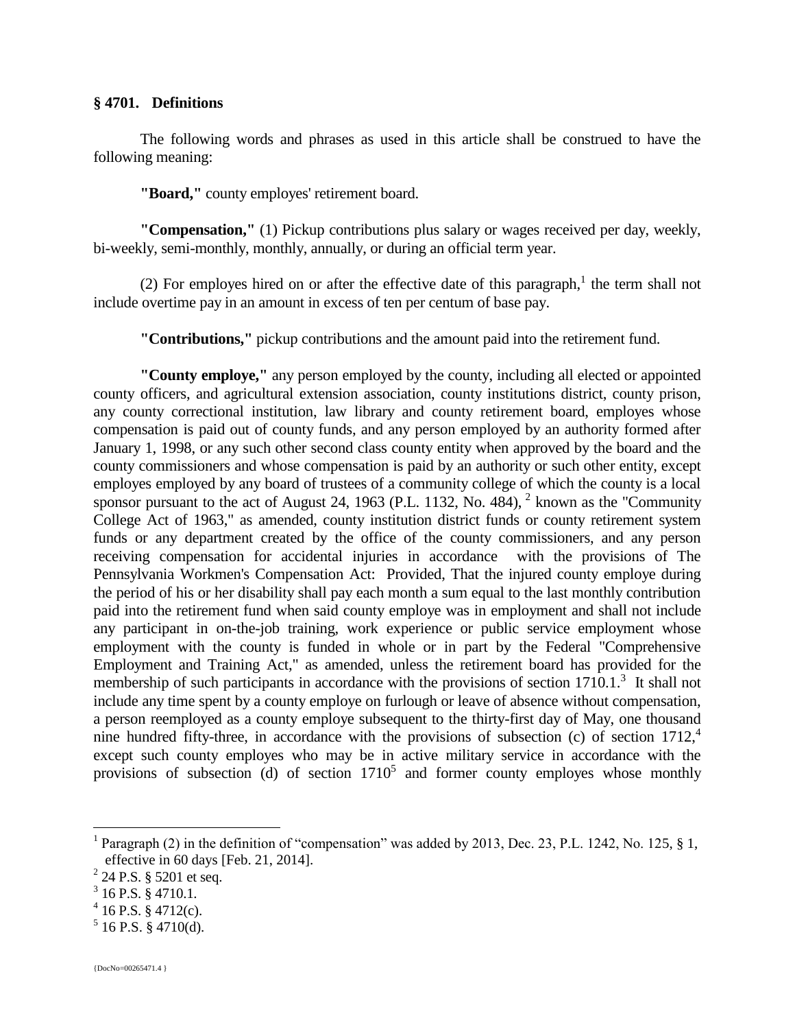#### **§ 4701. Definitions**

The following words and phrases as used in this article shall be construed to have the following meaning:

**"Board,"** county employes' retirement board.

**"Compensation,"** (1) Pickup contributions plus salary or wages received per day, weekly, bi-weekly, semi-monthly, monthly, annually, or during an official term year.

(2) For employes hired on or after the effective date of this paragraph,<sup>1</sup> the term shall not include overtime pay in an amount in excess of ten per centum of base pay.

**"Contributions,"** pickup contributions and the amount paid into the retirement fund.

**"County employe,"** any person employed by the county, including all elected or appointed county officers, and agricultural extension association, county institutions district, county prison, any county correctional institution, law library and county retirement board, employes whose compensation is paid out of county funds, and any person employed by an authority formed after January 1, 1998, or any such other second class county entity when approved by the board and the county commissioners and whose compensation is paid by an authority or such other entity, except employes employed by any board of trustees of a community college of which the county is a local sponsor pursuant to the act of August 24, 1963 (P.L. 1132, No. 484),  $^2$  known as the "Community College Act of 1963," as amended, county institution district funds or county retirement system funds or any department created by the office of the county commissioners, and any person receiving compensation for accidental injuries in accordance with the provisions of The Pennsylvania Workmen's Compensation Act: Provided, That the injured county employe during the period of his or her disability shall pay each month a sum equal to the last monthly contribution paid into the retirement fund when said county employe was in employment and shall not include any participant in on-the-job training, work experience or public service employment whose employment with the county is funded in whole or in part by the Federal "Comprehensive Employment and Training Act," as amended, unless the retirement board has provided for the membership of such participants in accordance with the provisions of section 1710.1.<sup>3</sup> It shall not include any time spent by a county employe on furlough or leave of absence without compensation, a person reemployed as a county employe subsequent to the thirty-first day of May, one thousand nine hundred fifty-three, in accordance with the provisions of subsection (c) of section  $1712<sup>4</sup>$ except such county employes who may be in active military service in accordance with the provisions of subsection (d) of section  $1710<sup>5</sup>$  and former county employes whose monthly

<sup>&</sup>lt;sup>1</sup> Paragraph (2) in the definition of "compensation" was added by 2013, Dec. 23, P.L. 1242, No. 125, § 1, effective in 60 days [Feb. 21, 2014].

 $^{2}$  24 P.S. § 5201 et seq.

 $3$  16 P.S. § 4710.1.

 $4$  16 P.S. § 4712(c).

 $5$  16 P.S. § 4710(d).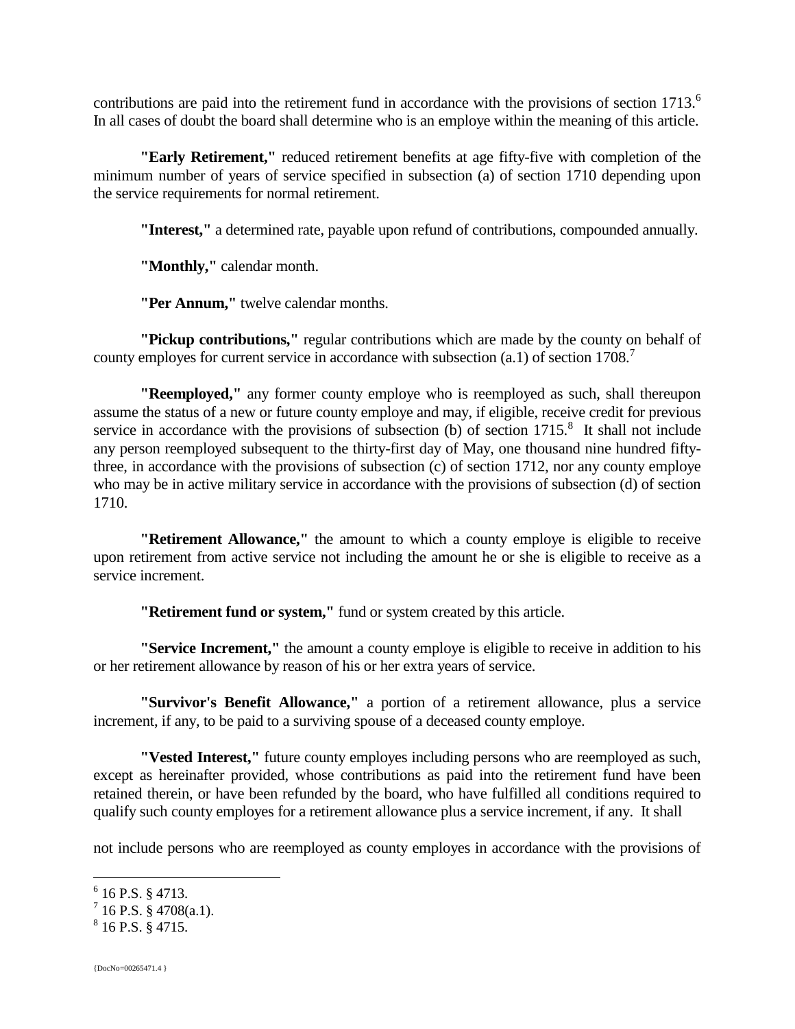contributions are paid into the retirement fund in accordance with the provisions of section 1713.<sup>6</sup> In all cases of doubt the board shall determine who is an employe within the meaning of this article.

**"Early Retirement,"** reduced retirement benefits at age fifty-five with completion of the minimum number of years of service specified in subsection (a) of section 1710 depending upon the service requirements for normal retirement.

**"Interest,"** a determined rate, payable upon refund of contributions, compounded annually.

**"Monthly,"** calendar month.

**"Per Annum,"** twelve calendar months.

**"Pickup contributions,"** regular contributions which are made by the county on behalf of county employes for current service in accordance with subsection (a.1) of section 1708.<sup>7</sup>

**"Reemployed,"** any former county employe who is reemployed as such, shall thereupon assume the status of a new or future county employe and may, if eligible, receive credit for previous service in accordance with the provisions of subsection (b) of section  $1715$ .<sup>8</sup> It shall not include any person reemployed subsequent to the thirty-first day of May, one thousand nine hundred fiftythree, in accordance with the provisions of subsection (c) of section 1712, nor any county employe who may be in active military service in accordance with the provisions of subsection (d) of section 1710.

**"Retirement Allowance,"** the amount to which a county employe is eligible to receive upon retirement from active service not including the amount he or she is eligible to receive as a service increment.

**"Retirement fund or system,"** fund or system created by this article.

**"Service Increment,"** the amount a county employe is eligible to receive in addition to his or her retirement allowance by reason of his or her extra years of service.

**"Survivor's Benefit Allowance,"** a portion of a retirement allowance, plus a service increment, if any, to be paid to a surviving spouse of a deceased county employe.

**"Vested Interest,"** future county employes including persons who are reemployed as such, except as hereinafter provided, whose contributions as paid into the retirement fund have been retained therein, or have been refunded by the board, who have fulfilled all conditions required to qualify such county employes for a retirement allowance plus a service increment, if any. It shall

not include persons who are reemployed as county employes in accordance with the provisions of

 $6$  16 P.S. § 4713.

 $^7$  16 P.S. § 4708(a.1).

 $8$  16 P.S. § 4715.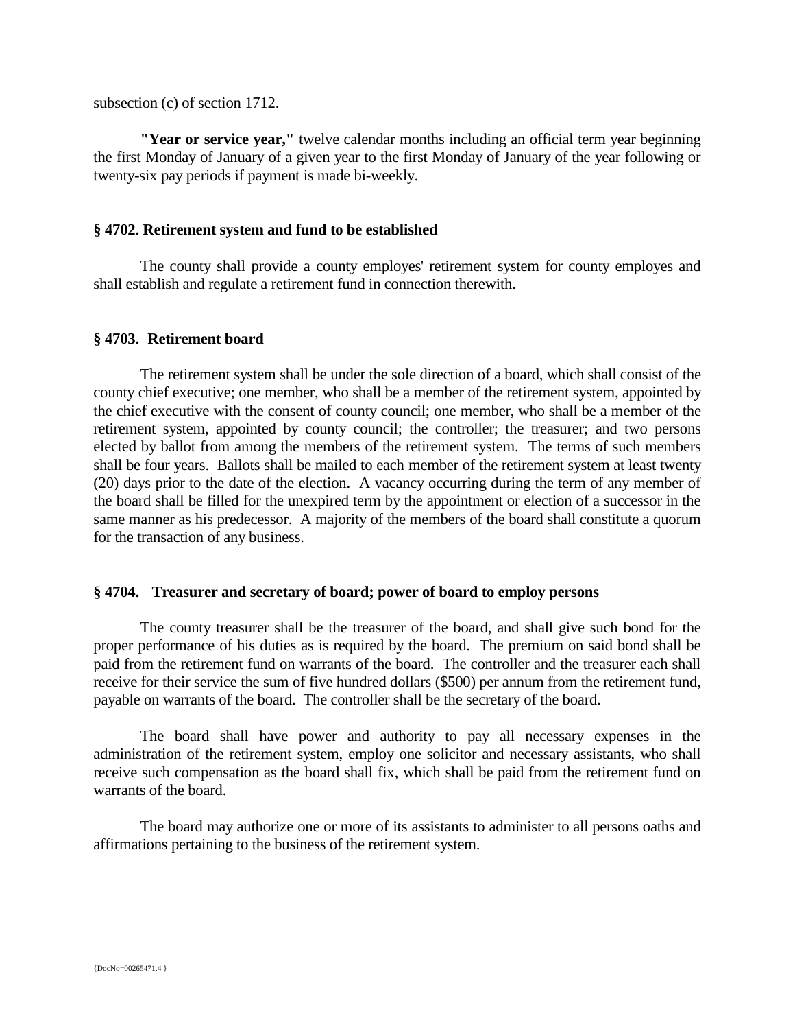subsection (c) of section 1712.

**"Year or service year,"** twelve calendar months including an official term year beginning the first Monday of January of a given year to the first Monday of January of the year following or twenty-six pay periods if payment is made bi-weekly.

#### **§ 4702. Retirement system and fund to be established**

The county shall provide a county employes' retirement system for county employes and shall establish and regulate a retirement fund in connection therewith.

#### **§ 4703. Retirement board**

The retirement system shall be under the sole direction of a board, which shall consist of the county chief executive; one member, who shall be a member of the retirement system, appointed by the chief executive with the consent of county council; one member, who shall be a member of the retirement system, appointed by county council; the controller; the treasurer; and two persons elected by ballot from among the members of the retirement system. The terms of such members shall be four years. Ballots shall be mailed to each member of the retirement system at least twenty (20) days prior to the date of the election. A vacancy occurring during the term of any member of the board shall be filled for the unexpired term by the appointment or election of a successor in the same manner as his predecessor. A majority of the members of the board shall constitute a quorum for the transaction of any business.

#### **§ 4704. Treasurer and secretary of board; power of board to employ persons**

The county treasurer shall be the treasurer of the board, and shall give such bond for the proper performance of his duties as is required by the board. The premium on said bond shall be paid from the retirement fund on warrants of the board. The controller and the treasurer each shall receive for their service the sum of five hundred dollars (\$500) per annum from the retirement fund, payable on warrants of the board. The controller shall be the secretary of the board.

The board shall have power and authority to pay all necessary expenses in the administration of the retirement system, employ one solicitor and necessary assistants, who shall receive such compensation as the board shall fix, which shall be paid from the retirement fund on warrants of the board.

The board may authorize one or more of its assistants to administer to all persons oaths and affirmations pertaining to the business of the retirement system.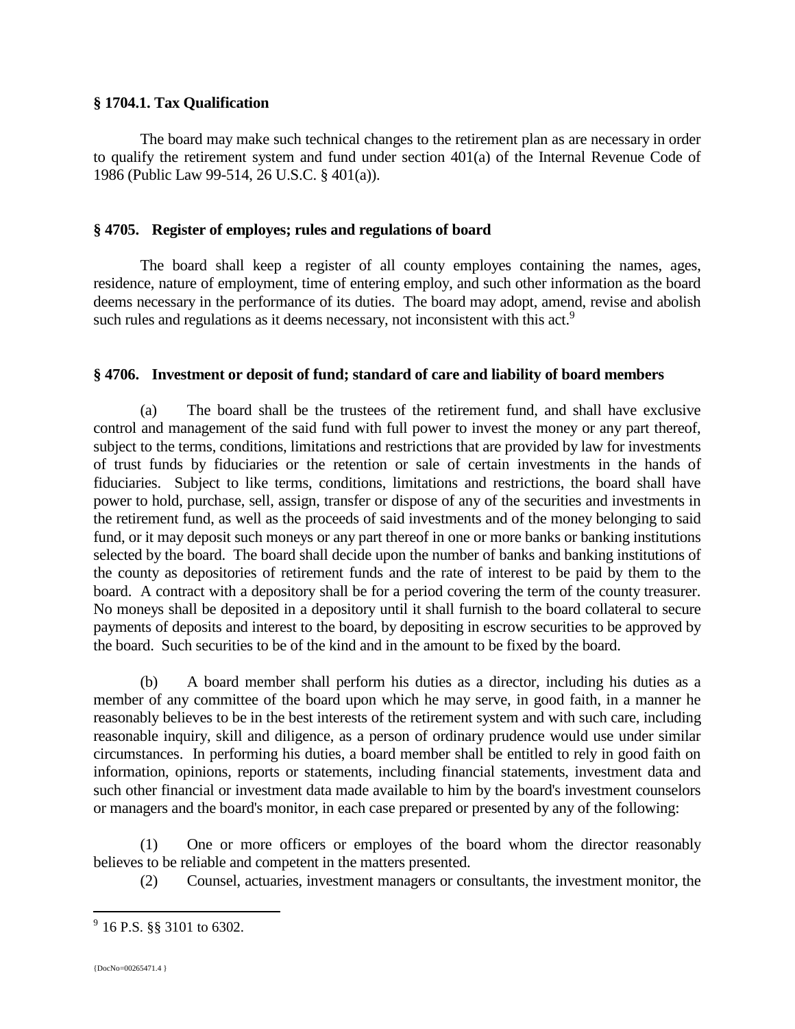#### **§ 1704.1. Tax Qualification**

The board may make such technical changes to the retirement plan as are necessary in order to qualify the retirement system and fund under section 401(a) of the Internal Revenue Code of 1986 (Public Law 99-514, 26 U.S.C. § 401(a)).

#### **§ 4705. Register of employes; rules and regulations of board**

The board shall keep a register of all county employes containing the names, ages, residence, nature of employment, time of entering employ, and such other information as the board deems necessary in the performance of its duties. The board may adopt, amend, revise and abolish such rules and regulations as it deems necessary, not inconsistent with this act.<sup>9</sup>

#### **§ 4706. Investment or deposit of fund; standard of care and liability of board members**

(a) The board shall be the trustees of the retirement fund, and shall have exclusive control and management of the said fund with full power to invest the money or any part thereof, subject to the terms, conditions, limitations and restrictions that are provided by law for investments of trust funds by fiduciaries or the retention or sale of certain investments in the hands of fiduciaries. Subject to like terms, conditions, limitations and restrictions, the board shall have power to hold, purchase, sell, assign, transfer or dispose of any of the securities and investments in the retirement fund, as well as the proceeds of said investments and of the money belonging to said fund, or it may deposit such moneys or any part thereof in one or more banks or banking institutions selected by the board. The board shall decide upon the number of banks and banking institutions of the county as depositories of retirement funds and the rate of interest to be paid by them to the board. A contract with a depository shall be for a period covering the term of the county treasurer. No moneys shall be deposited in a depository until it shall furnish to the board collateral to secure payments of deposits and interest to the board, by depositing in escrow securities to be approved by the board. Such securities to be of the kind and in the amount to be fixed by the board.

(b) A board member shall perform his duties as a director, including his duties as a member of any committee of the board upon which he may serve, in good faith, in a manner he reasonably believes to be in the best interests of the retirement system and with such care, including reasonable inquiry, skill and diligence, as a person of ordinary prudence would use under similar circumstances. In performing his duties, a board member shall be entitled to rely in good faith on information, opinions, reports or statements, including financial statements, investment data and such other financial or investment data made available to him by the board's investment counselors or managers and the board's monitor, in each case prepared or presented by any of the following:

(1) One or more officers or employes of the board whom the director reasonably believes to be reliable and competent in the matters presented.

(2) Counsel, actuaries, investment managers or consultants, the investment monitor, the

 $9$  16 P.S. §§ 3101 to 6302.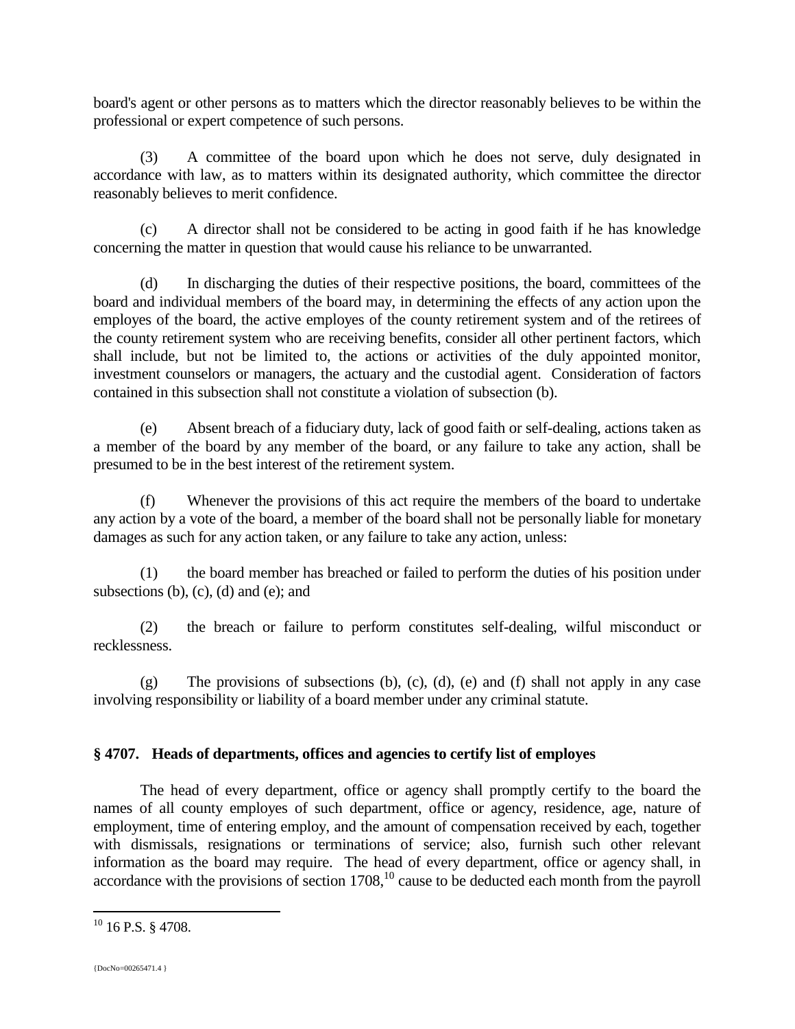board's agent or other persons as to matters which the director reasonably believes to be within the professional or expert competence of such persons.

(3) A committee of the board upon which he does not serve, duly designated in accordance with law, as to matters within its designated authority, which committee the director reasonably believes to merit confidence.

(c) A director shall not be considered to be acting in good faith if he has knowledge concerning the matter in question that would cause his reliance to be unwarranted.

(d) In discharging the duties of their respective positions, the board, committees of the board and individual members of the board may, in determining the effects of any action upon the employes of the board, the active employes of the county retirement system and of the retirees of the county retirement system who are receiving benefits, consider all other pertinent factors, which shall include, but not be limited to, the actions or activities of the duly appointed monitor, investment counselors or managers, the actuary and the custodial agent. Consideration of factors contained in this subsection shall not constitute a violation of subsection (b).

(e) Absent breach of a fiduciary duty, lack of good faith or self-dealing, actions taken as a member of the board by any member of the board, or any failure to take any action, shall be presumed to be in the best interest of the retirement system.

(f) Whenever the provisions of this act require the members of the board to undertake any action by a vote of the board, a member of the board shall not be personally liable for monetary damages as such for any action taken, or any failure to take any action, unless:

(1) the board member has breached or failed to perform the duties of his position under subsections  $(b)$ ,  $(c)$ ,  $(d)$  and  $(e)$ ; and

(2) the breach or failure to perform constitutes self-dealing, wilful misconduct or recklessness.

 $(g)$  The provisions of subsections (b), (c), (d), (e) and (f) shall not apply in any case involving responsibility or liability of a board member under any criminal statute.

## **§ 4707. Heads of departments, offices and agencies to certify list of employes**

The head of every department, office or agency shall promptly certify to the board the names of all county employes of such department, office or agency, residence, age, nature of employment, time of entering employ, and the amount of compensation received by each, together with dismissals, resignations or terminations of service; also, furnish such other relevant information as the board may require. The head of every department, office or agency shall, in accordance with the provisions of section  $1708$ ,<sup>10</sup> cause to be deducted each month from the payroll

 $10$  16 P.S. § 4708.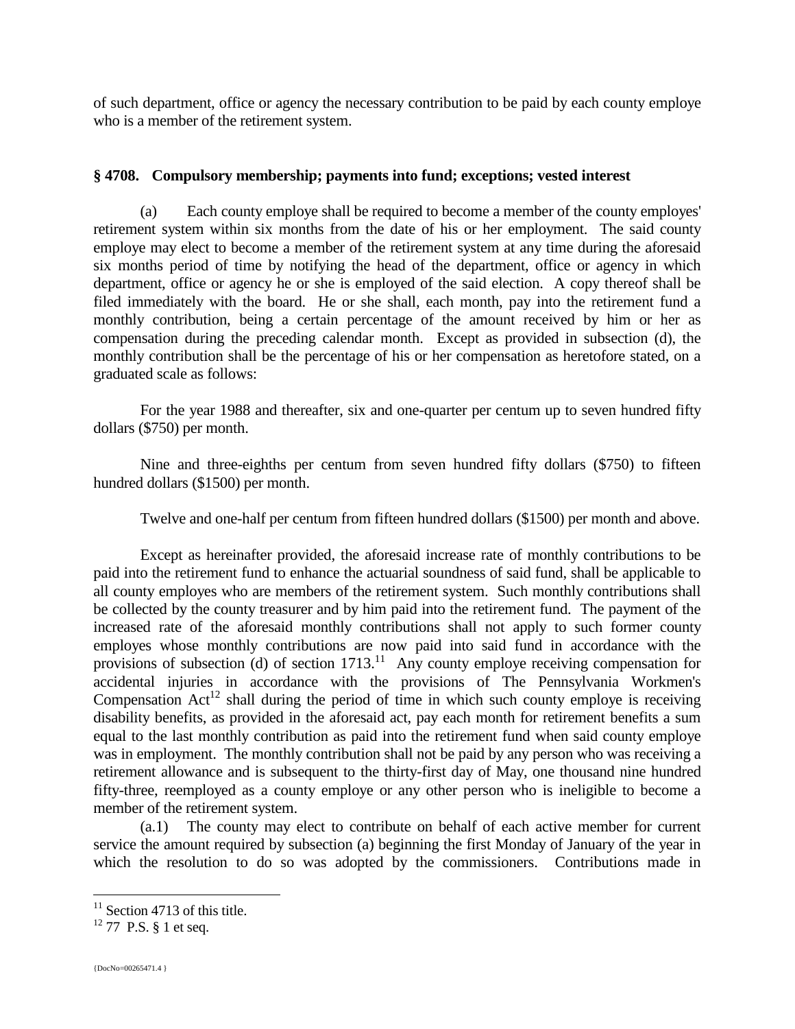of such department, office or agency the necessary contribution to be paid by each county employe who is a member of the retirement system.

## **§ 4708. Compulsory membership; payments into fund; exceptions; vested interest**

(a) Each county employe shall be required to become a member of the county employes' retirement system within six months from the date of his or her employment. The said county employe may elect to become a member of the retirement system at any time during the aforesaid six months period of time by notifying the head of the department, office or agency in which department, office or agency he or she is employed of the said election. A copy thereof shall be filed immediately with the board. He or she shall, each month, pay into the retirement fund a monthly contribution, being a certain percentage of the amount received by him or her as compensation during the preceding calendar month. Except as provided in subsection (d), the monthly contribution shall be the percentage of his or her compensation as heretofore stated, on a graduated scale as follows:

For the year 1988 and thereafter, six and one-quarter per centum up to seven hundred fifty dollars (\$750) per month.

Nine and three-eighths per centum from seven hundred fifty dollars (\$750) to fifteen hundred dollars (\$1500) per month.

Twelve and one-half per centum from fifteen hundred dollars (\$1500) per month and above.

Except as hereinafter provided, the aforesaid increase rate of monthly contributions to be paid into the retirement fund to enhance the actuarial soundness of said fund, shall be applicable to all county employes who are members of the retirement system. Such monthly contributions shall be collected by the county treasurer and by him paid into the retirement fund. The payment of the increased rate of the aforesaid monthly contributions shall not apply to such former county employes whose monthly contributions are now paid into said fund in accordance with the provisions of subsection (d) of section  $1713$ <sup>11</sup> Any county employe receiving compensation for accidental injuries in accordance with the provisions of The Pennsylvania Workmen's Compensation  $Act^{12}$  shall during the period of time in which such county employe is receiving disability benefits, as provided in the aforesaid act, pay each month for retirement benefits a sum equal to the last monthly contribution as paid into the retirement fund when said county employe was in employment. The monthly contribution shall not be paid by any person who was receiving a retirement allowance and is subsequent to the thirty-first day of May, one thousand nine hundred fifty-three, reemployed as a county employe or any other person who is ineligible to become a member of the retirement system.

(a.1) The county may elect to contribute on behalf of each active member for current service the amount required by subsection (a) beginning the first Monday of January of the year in which the resolution to do so was adopted by the commissioners. Contributions made in

 $11$  Section 4713 of this title.

 $12$  77 P.S. § 1 et seq.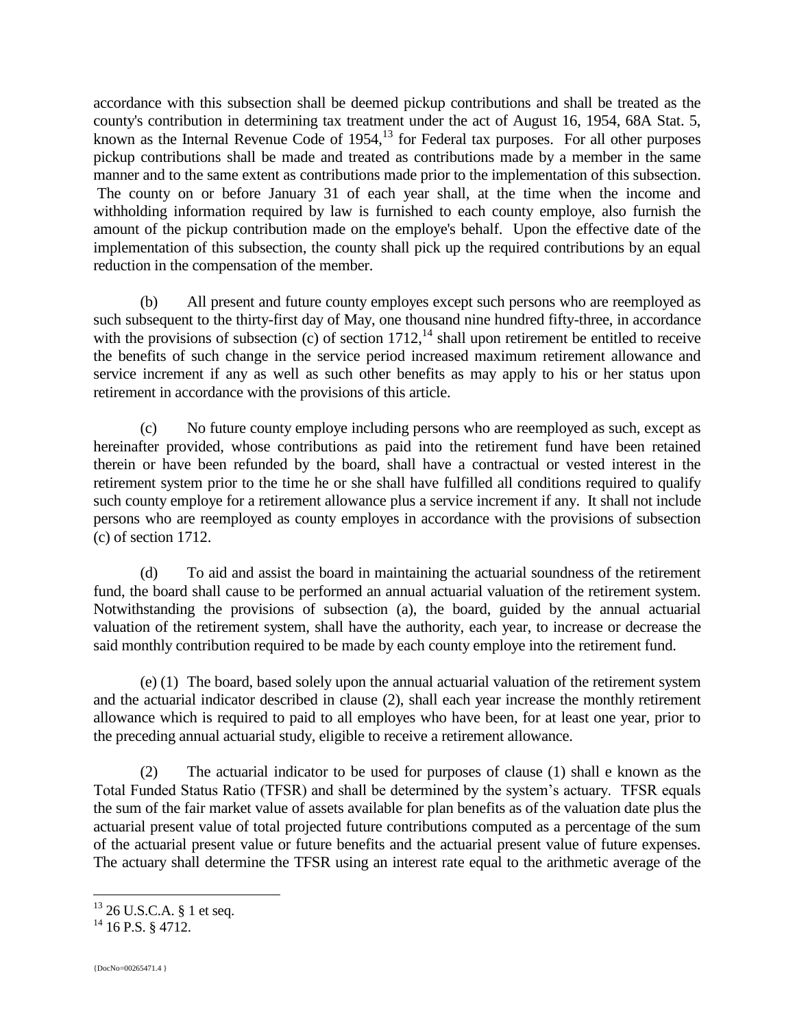accordance with this subsection shall be deemed pickup contributions and shall be treated as the county's contribution in determining tax treatment under the act of August 16, 1954, 68A Stat. 5, known as the Internal Revenue Code of  $1954$ ,<sup>13</sup> for Federal tax purposes. For all other purposes pickup contributions shall be made and treated as contributions made by a member in the same manner and to the same extent as contributions made prior to the implementation of this subsection. The county on or before January 31 of each year shall, at the time when the income and withholding information required by law is furnished to each county employe, also furnish the amount of the pickup contribution made on the employe's behalf. Upon the effective date of the implementation of this subsection, the county shall pick up the required contributions by an equal reduction in the compensation of the member.

(b) All present and future county employes except such persons who are reemployed as such subsequent to the thirty-first day of May, one thousand nine hundred fifty-three, in accordance with the provisions of subsection (c) of section  $1712$ ,<sup>14</sup> shall upon retirement be entitled to receive the benefits of such change in the service period increased maximum retirement allowance and service increment if any as well as such other benefits as may apply to his or her status upon retirement in accordance with the provisions of this article.

(c) No future county employe including persons who are reemployed as such, except as hereinafter provided, whose contributions as paid into the retirement fund have been retained therein or have been refunded by the board, shall have a contractual or vested interest in the retirement system prior to the time he or she shall have fulfilled all conditions required to qualify such county employe for a retirement allowance plus a service increment if any. It shall not include persons who are reemployed as county employes in accordance with the provisions of subsection (c) of section 1712.

(d) To aid and assist the board in maintaining the actuarial soundness of the retirement fund, the board shall cause to be performed an annual actuarial valuation of the retirement system. Notwithstanding the provisions of subsection (a), the board, guided by the annual actuarial valuation of the retirement system, shall have the authority, each year, to increase or decrease the said monthly contribution required to be made by each county employe into the retirement fund.

(e) (1) The board, based solely upon the annual actuarial valuation of the retirement system and the actuarial indicator described in clause (2), shall each year increase the monthly retirement allowance which is required to paid to all employes who have been, for at least one year, prior to the preceding annual actuarial study, eligible to receive a retirement allowance.

(2) The actuarial indicator to be used for purposes of clause (1) shall e known as the Total Funded Status Ratio (TFSR) and shall be determined by the system's actuary. TFSR equals the sum of the fair market value of assets available for plan benefits as of the valuation date plus the actuarial present value of total projected future contributions computed as a percentage of the sum of the actuarial present value or future benefits and the actuarial present value of future expenses. The actuary shall determine the TFSR using an interest rate equal to the arithmetic average of the

 $^{13}$  26 U.S.C.A. § 1 et seq.

 $14$  16 P.S. § 4712.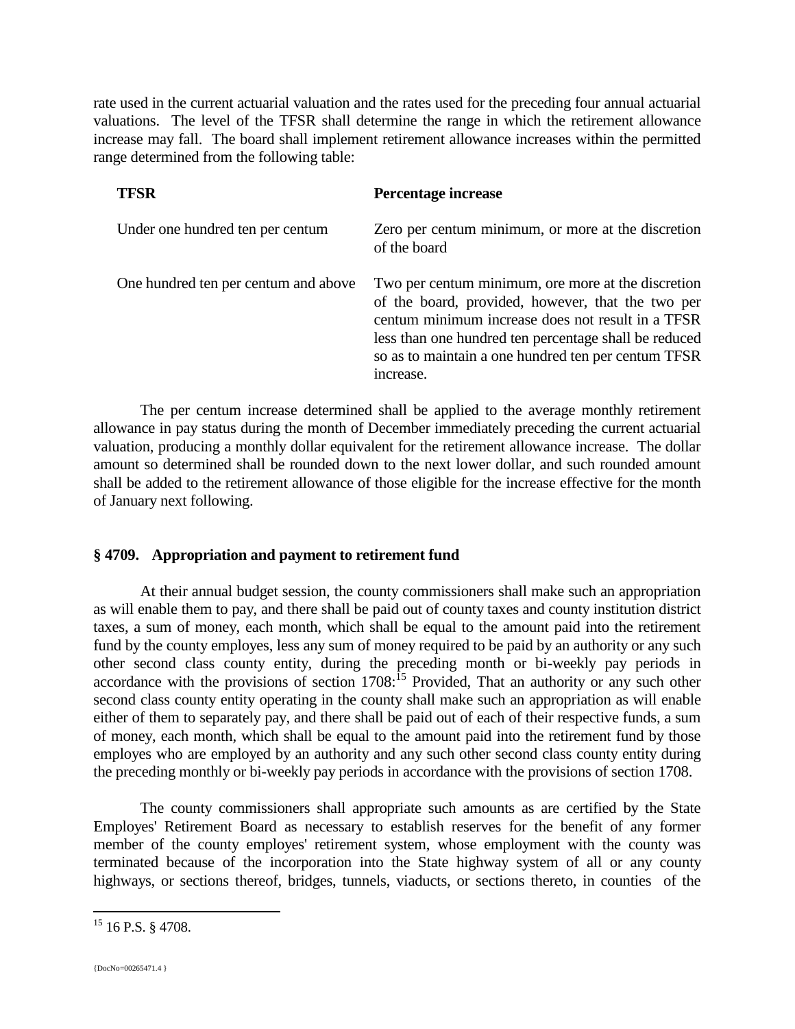rate used in the current actuarial valuation and the rates used for the preceding four annual actuarial valuations. The level of the TFSR shall determine the range in which the retirement allowance increase may fall. The board shall implement retirement allowance increases within the permitted range determined from the following table:

| <b>TFSR</b>                          | Percentage increase                                                                                                                                                                                                                                                                       |
|--------------------------------------|-------------------------------------------------------------------------------------------------------------------------------------------------------------------------------------------------------------------------------------------------------------------------------------------|
| Under one hundred ten per centum     | Zero per centum minimum, or more at the discretion<br>of the board                                                                                                                                                                                                                        |
| One hundred ten per centum and above | Two per centum minimum, ore more at the discretion<br>of the board, provided, however, that the two per<br>centum minimum increase does not result in a TFSR<br>less than one hundred ten percentage shall be reduced<br>so as to maintain a one hundred ten per centum TFSR<br>increase. |

The per centum increase determined shall be applied to the average monthly retirement allowance in pay status during the month of December immediately preceding the current actuarial valuation, producing a monthly dollar equivalent for the retirement allowance increase. The dollar amount so determined shall be rounded down to the next lower dollar, and such rounded amount shall be added to the retirement allowance of those eligible for the increase effective for the month of January next following.

#### **§ 4709. Appropriation and payment to retirement fund**

At their annual budget session, the county commissioners shall make such an appropriation as will enable them to pay, and there shall be paid out of county taxes and county institution district taxes, a sum of money, each month, which shall be equal to the amount paid into the retirement fund by the county employes, less any sum of money required to be paid by an authority or any such other second class county entity, during the preceding month or bi-weekly pay periods in accordance with the provisions of section  $1708$ :<sup>15</sup> Provided, That an authority or any such other second class county entity operating in the county shall make such an appropriation as will enable either of them to separately pay, and there shall be paid out of each of their respective funds, a sum of money, each month, which shall be equal to the amount paid into the retirement fund by those employes who are employed by an authority and any such other second class county entity during the preceding monthly or bi-weekly pay periods in accordance with the provisions of section 1708.

The county commissioners shall appropriate such amounts as are certified by the State Employes' Retirement Board as necessary to establish reserves for the benefit of any former member of the county employes' retirement system, whose employment with the county was terminated because of the incorporation into the State highway system of all or any county highways, or sections thereof, bridges, tunnels, viaducts, or sections thereto, in counties of the

<sup>&</sup>lt;sup>15</sup> 16 P.S. § 4708.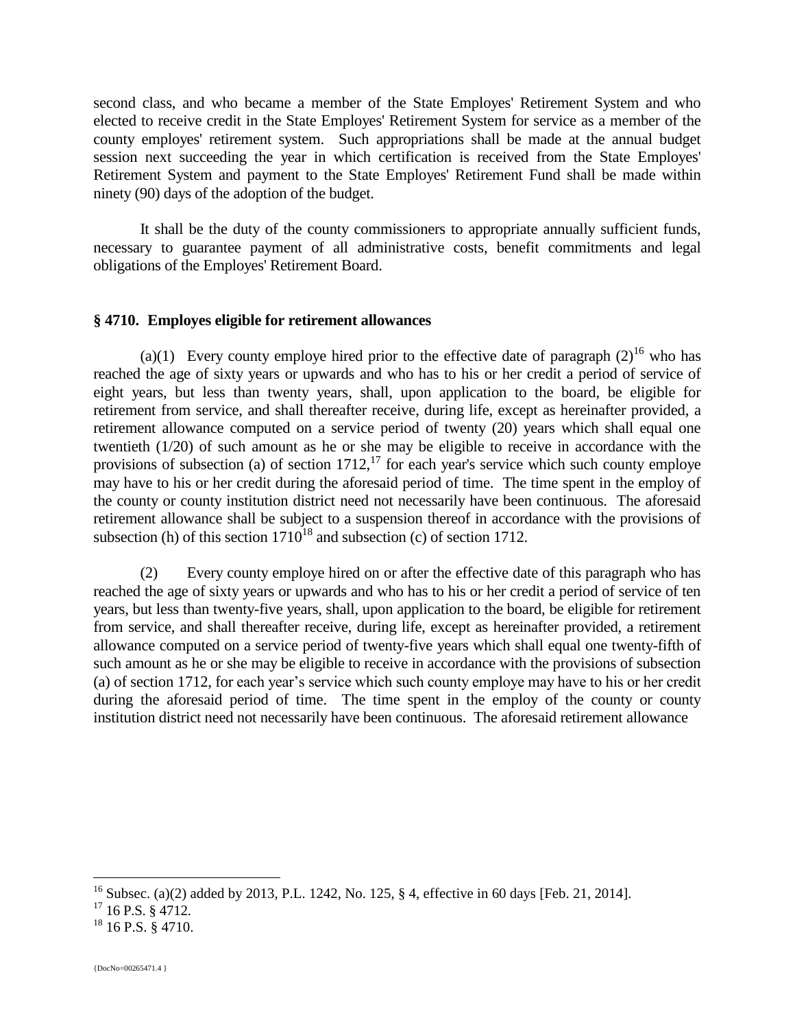second class, and who became a member of the State Employes' Retirement System and who elected to receive credit in the State Employes' Retirement System for service as a member of the county employes' retirement system. Such appropriations shall be made at the annual budget session next succeeding the year in which certification is received from the State Employes' Retirement System and payment to the State Employes' Retirement Fund shall be made within ninety (90) days of the adoption of the budget.

It shall be the duty of the county commissioners to appropriate annually sufficient funds, necessary to guarantee payment of all administrative costs, benefit commitments and legal obligations of the Employes' Retirement Board.

#### **§ 4710. Employes eligible for retirement allowances**

(a)(1) Every county employe hired prior to the effective date of paragraph  $(2)^{16}$  who has reached the age of sixty years or upwards and who has to his or her credit a period of service of eight years, but less than twenty years, shall, upon application to the board, be eligible for retirement from service, and shall thereafter receive, during life, except as hereinafter provided, a retirement allowance computed on a service period of twenty (20) years which shall equal one twentieth (1/20) of such amount as he or she may be eligible to receive in accordance with the provisions of subsection (a) of section  $1712$ ,<sup>17</sup> for each year's service which such county employe may have to his or her credit during the aforesaid period of time. The time spent in the employ of the county or county institution district need not necessarily have been continuous. The aforesaid retirement allowance shall be subject to a suspension thereof in accordance with the provisions of subsection (h) of this section  $1710^{18}$  and subsection (c) of section 1712.

(2) Every county employe hired on or after the effective date of this paragraph who has reached the age of sixty years or upwards and who has to his or her credit a period of service of ten years, but less than twenty-five years, shall, upon application to the board, be eligible for retirement from service, and shall thereafter receive, during life, except as hereinafter provided, a retirement allowance computed on a service period of twenty-five years which shall equal one twenty-fifth of such amount as he or she may be eligible to receive in accordance with the provisions of subsection (a) of section 1712, for each year's service which such county employe may have to his or her credit during the aforesaid period of time. The time spent in the employ of the county or county institution district need not necessarily have been continuous. The aforesaid retirement allowance

<sup>&</sup>lt;sup>16</sup> Subsec. (a)(2) added by 2013, P.L. 1242, No. 125, § 4, effective in 60 days [Feb. 21, 2014].

 $17$  16 P.S. § 4712.

 $18$  16 P.S. § 4710.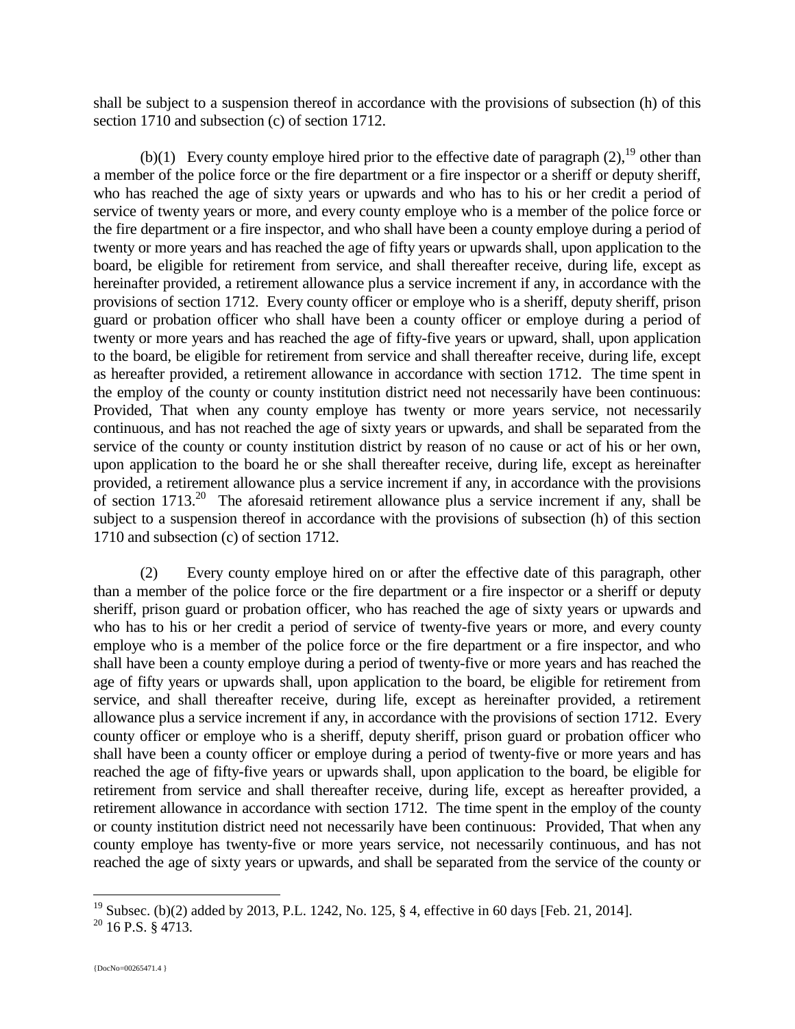shall be subject to a suspension thereof in accordance with the provisions of subsection (h) of this section 1710 and subsection (c) of section 1712.

(b)(1) Every county employe hired prior to the effective date of paragraph  $(2)$ , <sup>19</sup> other than a member of the police force or the fire department or a fire inspector or a sheriff or deputy sheriff, who has reached the age of sixty years or upwards and who has to his or her credit a period of service of twenty years or more, and every county employe who is a member of the police force or the fire department or a fire inspector, and who shall have been a county employe during a period of twenty or more years and has reached the age of fifty years or upwards shall, upon application to the board, be eligible for retirement from service, and shall thereafter receive, during life, except as hereinafter provided, a retirement allowance plus a service increment if any, in accordance with the provisions of section 1712. Every county officer or employe who is a sheriff, deputy sheriff, prison guard or probation officer who shall have been a county officer or employe during a period of twenty or more years and has reached the age of fifty-five years or upward, shall, upon application to the board, be eligible for retirement from service and shall thereafter receive, during life, except as hereafter provided, a retirement allowance in accordance with section 1712. The time spent in the employ of the county or county institution district need not necessarily have been continuous: Provided, That when any county employe has twenty or more years service, not necessarily continuous, and has not reached the age of sixty years or upwards, and shall be separated from the service of the county or county institution district by reason of no cause or act of his or her own, upon application to the board he or she shall thereafter receive, during life, except as hereinafter provided, a retirement allowance plus a service increment if any, in accordance with the provisions of section  $1713<sup>20</sup>$  The aforesaid retirement allowance plus a service increment if any, shall be subject to a suspension thereof in accordance with the provisions of subsection (h) of this section 1710 and subsection (c) of section 1712.

(2) Every county employe hired on or after the effective date of this paragraph, other than a member of the police force or the fire department or a fire inspector or a sheriff or deputy sheriff, prison guard or probation officer, who has reached the age of sixty years or upwards and who has to his or her credit a period of service of twenty-five years or more, and every county employe who is a member of the police force or the fire department or a fire inspector, and who shall have been a county employe during a period of twenty-five or more years and has reached the age of fifty years or upwards shall, upon application to the board, be eligible for retirement from service, and shall thereafter receive, during life, except as hereinafter provided, a retirement allowance plus a service increment if any, in accordance with the provisions of section 1712. Every county officer or employe who is a sheriff, deputy sheriff, prison guard or probation officer who shall have been a county officer or employe during a period of twenty-five or more years and has reached the age of fifty-five years or upwards shall, upon application to the board, be eligible for retirement from service and shall thereafter receive, during life, except as hereafter provided, a retirement allowance in accordance with section 1712. The time spent in the employ of the county or county institution district need not necessarily have been continuous: Provided, That when any county employe has twenty-five or more years service, not necessarily continuous, and has not reached the age of sixty years or upwards, and shall be separated from the service of the county or

<sup>&</sup>lt;sup>19</sup> Subsec. (b)(2) added by 2013, P.L. 1242, No. 125, § 4, effective in 60 days [Feb. 21, 2014].

 $20$  16 P.S. § 4713.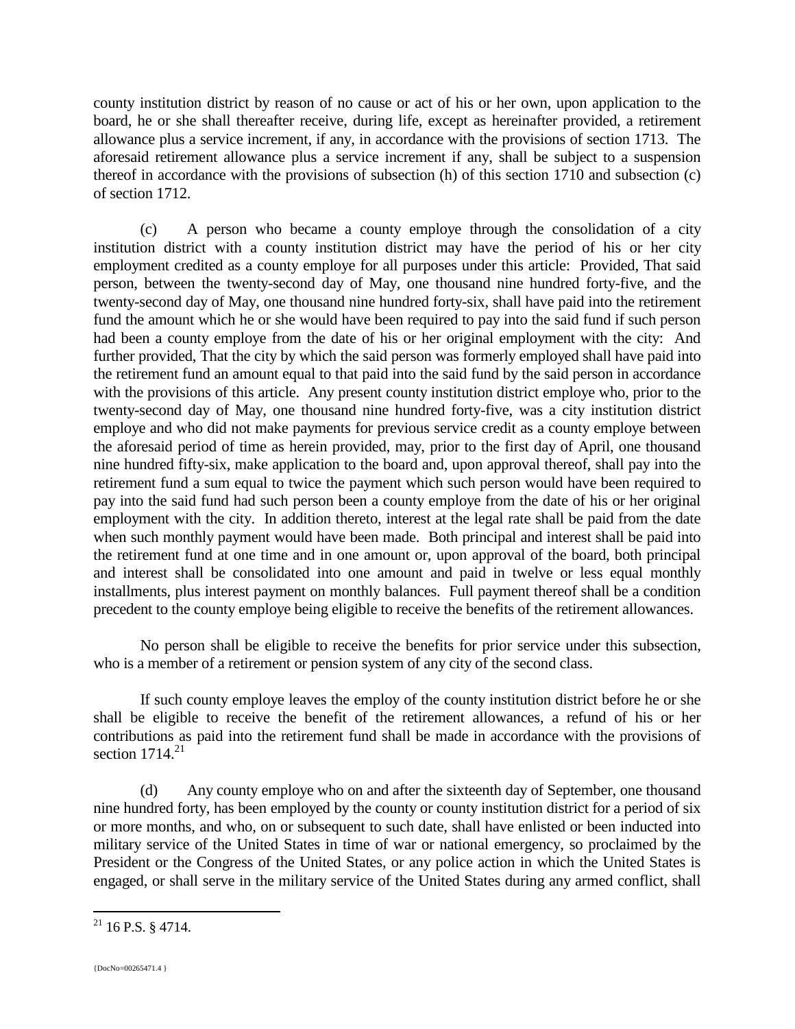county institution district by reason of no cause or act of his or her own, upon application to the board, he or she shall thereafter receive, during life, except as hereinafter provided, a retirement allowance plus a service increment, if any, in accordance with the provisions of section 1713. The aforesaid retirement allowance plus a service increment if any, shall be subject to a suspension thereof in accordance with the provisions of subsection (h) of this section 1710 and subsection (c) of section 1712.

(c) A person who became a county employe through the consolidation of a city institution district with a county institution district may have the period of his or her city employment credited as a county employe for all purposes under this article: Provided, That said person, between the twenty-second day of May, one thousand nine hundred forty-five, and the twenty-second day of May, one thousand nine hundred forty-six, shall have paid into the retirement fund the amount which he or she would have been required to pay into the said fund if such person had been a county employe from the date of his or her original employment with the city: And further provided, That the city by which the said person was formerly employed shall have paid into the retirement fund an amount equal to that paid into the said fund by the said person in accordance with the provisions of this article. Any present county institution district employe who, prior to the twenty-second day of May, one thousand nine hundred forty-five, was a city institution district employe and who did not make payments for previous service credit as a county employe between the aforesaid period of time as herein provided, may, prior to the first day of April, one thousand nine hundred fifty-six, make application to the board and, upon approval thereof, shall pay into the retirement fund a sum equal to twice the payment which such person would have been required to pay into the said fund had such person been a county employe from the date of his or her original employment with the city. In addition thereto, interest at the legal rate shall be paid from the date when such monthly payment would have been made. Both principal and interest shall be paid into the retirement fund at one time and in one amount or, upon approval of the board, both principal and interest shall be consolidated into one amount and paid in twelve or less equal monthly installments, plus interest payment on monthly balances. Full payment thereof shall be a condition precedent to the county employe being eligible to receive the benefits of the retirement allowances.

No person shall be eligible to receive the benefits for prior service under this subsection, who is a member of a retirement or pension system of any city of the second class.

If such county employe leaves the employ of the county institution district before he or she shall be eligible to receive the benefit of the retirement allowances, a refund of his or her contributions as paid into the retirement fund shall be made in accordance with the provisions of section  $1714^{21}$ 

(d) Any county employe who on and after the sixteenth day of September, one thousand nine hundred forty, has been employed by the county or county institution district for a period of six or more months, and who, on or subsequent to such date, shall have enlisted or been inducted into military service of the United States in time of war or national emergency, so proclaimed by the President or the Congress of the United States, or any police action in which the United States is engaged, or shall serve in the military service of the United States during any armed conflict, shall

 $21$  16 P.S. § 4714.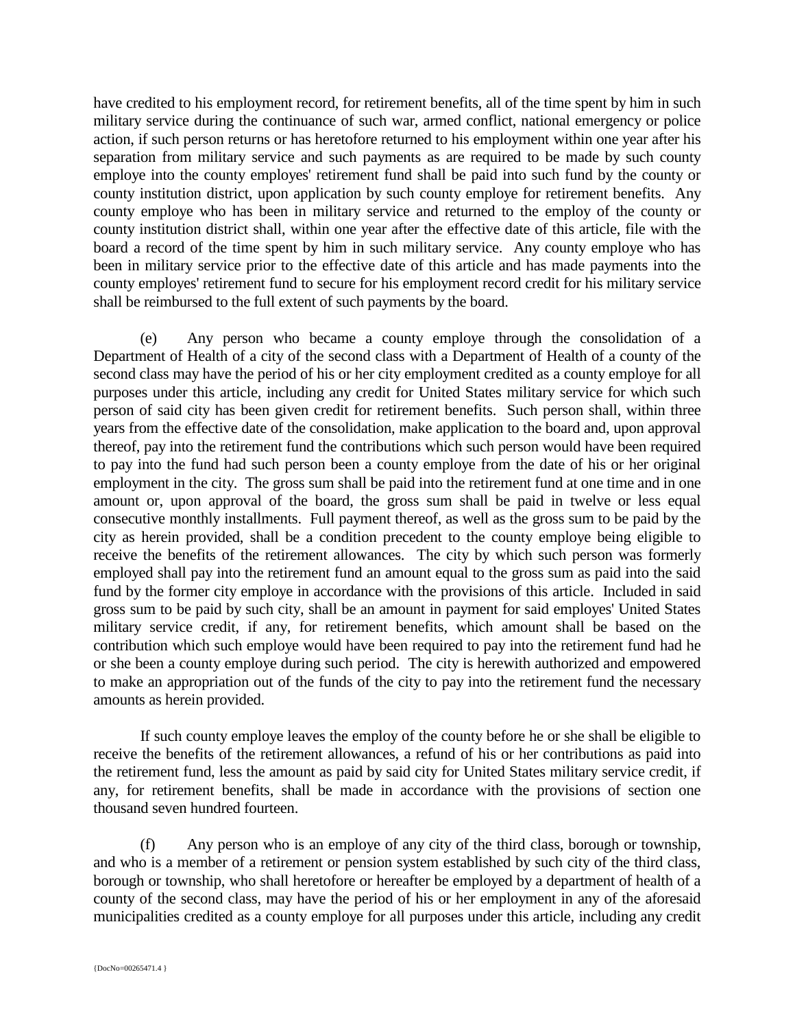have credited to his employment record, for retirement benefits, all of the time spent by him in such military service during the continuance of such war, armed conflict, national emergency or police action, if such person returns or has heretofore returned to his employment within one year after his separation from military service and such payments as are required to be made by such county employe into the county employes' retirement fund shall be paid into such fund by the county or county institution district, upon application by such county employe for retirement benefits. Any county employe who has been in military service and returned to the employ of the county or county institution district shall, within one year after the effective date of this article, file with the board a record of the time spent by him in such military service. Any county employe who has been in military service prior to the effective date of this article and has made payments into the county employes' retirement fund to secure for his employment record credit for his military service shall be reimbursed to the full extent of such payments by the board.

(e) Any person who became a county employe through the consolidation of a Department of Health of a city of the second class with a Department of Health of a county of the second class may have the period of his or her city employment credited as a county employe for all purposes under this article, including any credit for United States military service for which such person of said city has been given credit for retirement benefits. Such person shall, within three years from the effective date of the consolidation, make application to the board and, upon approval thereof, pay into the retirement fund the contributions which such person would have been required to pay into the fund had such person been a county employe from the date of his or her original employment in the city. The gross sum shall be paid into the retirement fund at one time and in one amount or, upon approval of the board, the gross sum shall be paid in twelve or less equal consecutive monthly installments. Full payment thereof, as well as the gross sum to be paid by the city as herein provided, shall be a condition precedent to the county employe being eligible to receive the benefits of the retirement allowances. The city by which such person was formerly employed shall pay into the retirement fund an amount equal to the gross sum as paid into the said fund by the former city employe in accordance with the provisions of this article. Included in said gross sum to be paid by such city, shall be an amount in payment for said employes' United States military service credit, if any, for retirement benefits, which amount shall be based on the contribution which such employe would have been required to pay into the retirement fund had he or she been a county employe during such period. The city is herewith authorized and empowered to make an appropriation out of the funds of the city to pay into the retirement fund the necessary amounts as herein provided.

If such county employe leaves the employ of the county before he or she shall be eligible to receive the benefits of the retirement allowances, a refund of his or her contributions as paid into the retirement fund, less the amount as paid by said city for United States military service credit, if any, for retirement benefits, shall be made in accordance with the provisions of section one thousand seven hundred fourteen.

(f) Any person who is an employe of any city of the third class, borough or township, and who is a member of a retirement or pension system established by such city of the third class, borough or township, who shall heretofore or hereafter be employed by a department of health of a county of the second class, may have the period of his or her employment in any of the aforesaid municipalities credited as a county employe for all purposes under this article, including any credit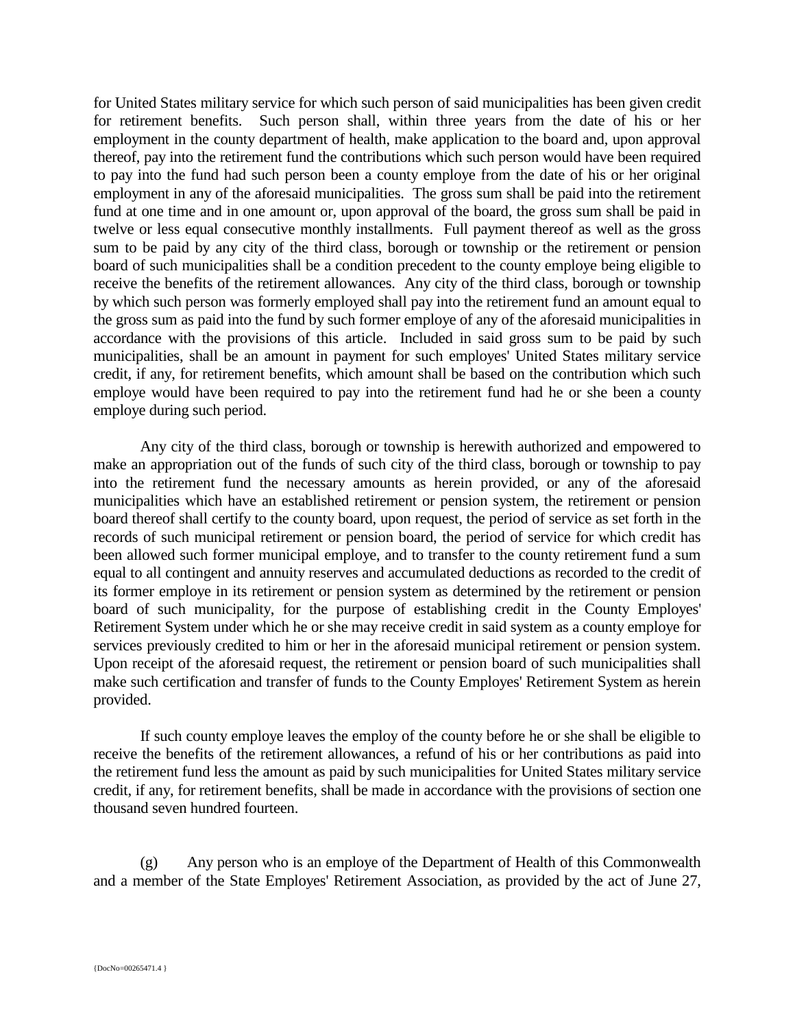for United States military service for which such person of said municipalities has been given credit for retirement benefits. Such person shall, within three years from the date of his or her employment in the county department of health, make application to the board and, upon approval thereof, pay into the retirement fund the contributions which such person would have been required to pay into the fund had such person been a county employe from the date of his or her original employment in any of the aforesaid municipalities. The gross sum shall be paid into the retirement fund at one time and in one amount or, upon approval of the board, the gross sum shall be paid in twelve or less equal consecutive monthly installments. Full payment thereof as well as the gross sum to be paid by any city of the third class, borough or township or the retirement or pension board of such municipalities shall be a condition precedent to the county employe being eligible to receive the benefits of the retirement allowances. Any city of the third class, borough or township by which such person was formerly employed shall pay into the retirement fund an amount equal to the gross sum as paid into the fund by such former employe of any of the aforesaid municipalities in accordance with the provisions of this article. Included in said gross sum to be paid by such municipalities, shall be an amount in payment for such employes' United States military service credit, if any, for retirement benefits, which amount shall be based on the contribution which such employe would have been required to pay into the retirement fund had he or she been a county employe during such period.

Any city of the third class, borough or township is herewith authorized and empowered to make an appropriation out of the funds of such city of the third class, borough or township to pay into the retirement fund the necessary amounts as herein provided, or any of the aforesaid municipalities which have an established retirement or pension system, the retirement or pension board thereof shall certify to the county board, upon request, the period of service as set forth in the records of such municipal retirement or pension board, the period of service for which credit has been allowed such former municipal employe, and to transfer to the county retirement fund a sum equal to all contingent and annuity reserves and accumulated deductions as recorded to the credit of its former employe in its retirement or pension system as determined by the retirement or pension board of such municipality, for the purpose of establishing credit in the County Employes' Retirement System under which he or she may receive credit in said system as a county employe for services previously credited to him or her in the aforesaid municipal retirement or pension system. Upon receipt of the aforesaid request, the retirement or pension board of such municipalities shall make such certification and transfer of funds to the County Employes' Retirement System as herein provided.

If such county employe leaves the employ of the county before he or she shall be eligible to receive the benefits of the retirement allowances, a refund of his or her contributions as paid into the retirement fund less the amount as paid by such municipalities for United States military service credit, if any, for retirement benefits, shall be made in accordance with the provisions of section one thousand seven hundred fourteen.

(g) Any person who is an employe of the Department of Health of this Commonwealth and a member of the State Employes' Retirement Association, as provided by the act of June 27,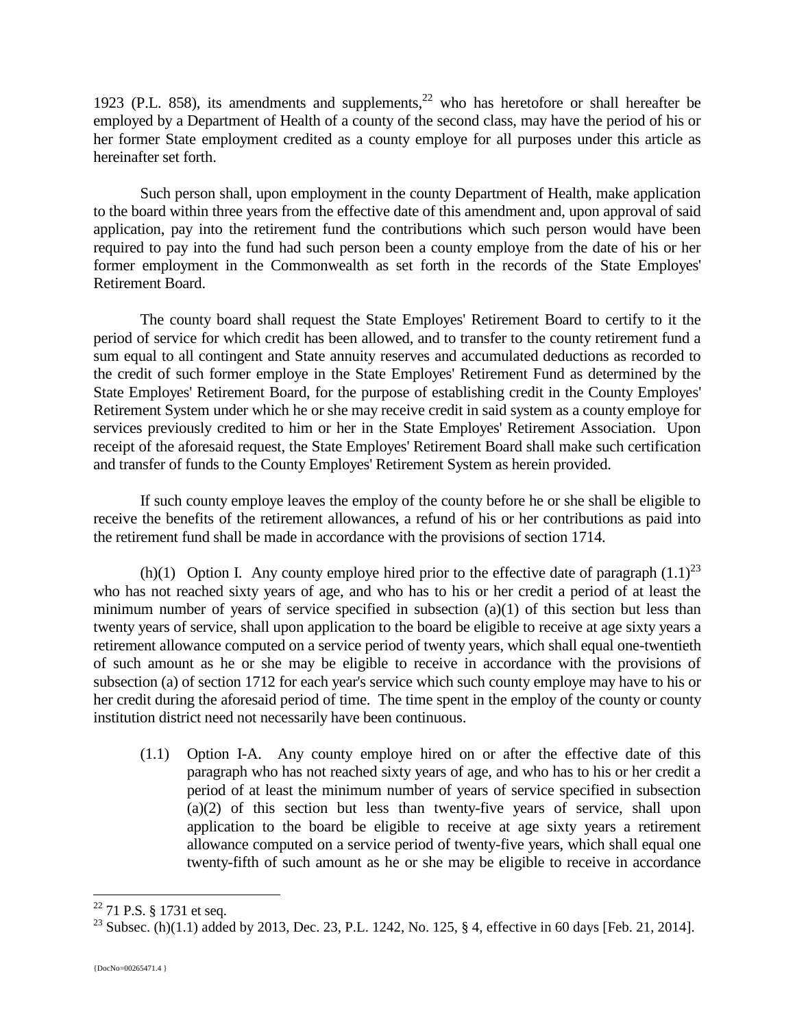1923 (P.L. 858), its amendments and supplements, $22$  who has heretofore or shall hereafter be employed by a Department of Health of a county of the second class, may have the period of his or her former State employment credited as a county employe for all purposes under this article as hereinafter set forth.

Such person shall, upon employment in the county Department of Health, make application to the board within three years from the effective date of this amendment and, upon approval of said application, pay into the retirement fund the contributions which such person would have been required to pay into the fund had such person been a county employe from the date of his or her former employment in the Commonwealth as set forth in the records of the State Employes' Retirement Board.

The county board shall request the State Employes' Retirement Board to certify to it the period of service for which credit has been allowed, and to transfer to the county retirement fund a sum equal to all contingent and State annuity reserves and accumulated deductions as recorded to the credit of such former employe in the State Employes' Retirement Fund as determined by the State Employes' Retirement Board, for the purpose of establishing credit in the County Employes' Retirement System under which he or she may receive credit in said system as a county employe for services previously credited to him or her in the State Employes' Retirement Association. Upon receipt of the aforesaid request, the State Employes' Retirement Board shall make such certification and transfer of funds to the County Employes' Retirement System as herein provided.

If such county employe leaves the employ of the county before he or she shall be eligible to receive the benefits of the retirement allowances, a refund of his or her contributions as paid into the retirement fund shall be made in accordance with the provisions of section 1714.

(h)(1) Option I. Any county employe hired prior to the effective date of paragraph  $(1.1)^{23}$ who has not reached sixty years of age, and who has to his or her credit a period of at least the minimum number of years of service specified in subsection (a)(1) of this section but less than twenty years of service, shall upon application to the board be eligible to receive at age sixty years a retirement allowance computed on a service period of twenty years, which shall equal one-twentieth of such amount as he or she may be eligible to receive in accordance with the provisions of subsection (a) of section 1712 for each year's service which such county employe may have to his or her credit during the aforesaid period of time. The time spent in the employ of the county or county institution district need not necessarily have been continuous.

(1.1) Option I-A. Any county employe hired on or after the effective date of this paragraph who has not reached sixty years of age, and who has to his or her credit a period of at least the minimum number of years of service specified in subsection (a)(2) of this section but less than twenty-five years of service, shall upon application to the board be eligible to receive at age sixty years a retirement allowance computed on a service period of twenty-five years, which shall equal one twenty-fifth of such amount as he or she may be eligible to receive in accordance

 $\overline{a}$  $22$  71 P.S. § 1731 et seq.

<sup>&</sup>lt;sup>23</sup> Subsec. (h)(1.1) added by 2013, Dec. 23, P.L. 1242, No. 125, § 4, effective in 60 days [Feb. 21, 2014].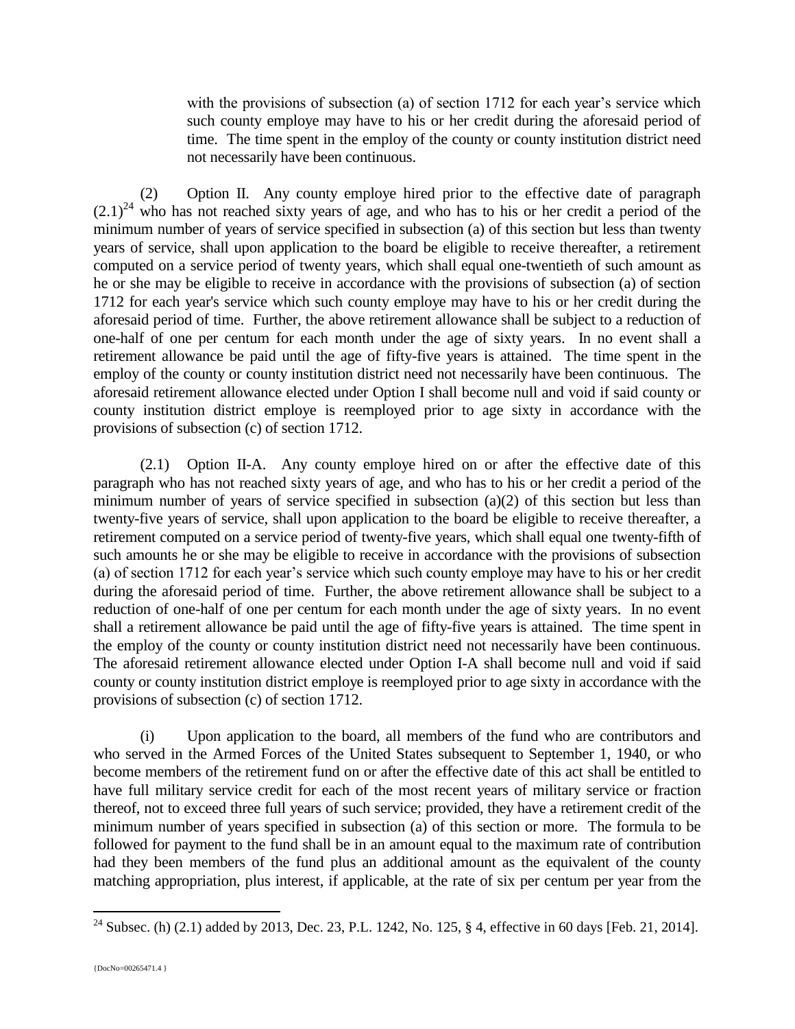with the provisions of subsection (a) of section 1712 for each year's service which such county employe may have to his or her credit during the aforesaid period of time. The time spent in the employ of the county or county institution district need not necessarily have been continuous.

(2) Option II. Any county employe hired prior to the effective date of paragraph  $(2.1)^{24}$  who has not reached sixty years of age, and who has to his or her credit a period of the minimum number of years of service specified in subsection (a) of this section but less than twenty years of service, shall upon application to the board be eligible to receive thereafter, a retirement computed on a service period of twenty years, which shall equal one-twentieth of such amount as he or she may be eligible to receive in accordance with the provisions of subsection (a) of section 1712 for each year's service which such county employe may have to his or her credit during the aforesaid period of time. Further, the above retirement allowance shall be subject to a reduction of one-half of one per centum for each month under the age of sixty years. In no event shall a retirement allowance be paid until the age of fifty-five years is attained. The time spent in the employ of the county or county institution district need not necessarily have been continuous. The aforesaid retirement allowance elected under Option I shall become null and void if said county or county institution district employe is reemployed prior to age sixty in accordance with the provisions of subsection (c) of section 1712.

(2.1) Option II-A. Any county employe hired on or after the effective date of this paragraph who has not reached sixty years of age, and who has to his or her credit a period of the minimum number of years of service specified in subsection (a)(2) of this section but less than twenty-five years of service, shall upon application to the board be eligible to receive thereafter, a retirement computed on a service period of twenty-five years, which shall equal one twenty-fifth of such amounts he or she may be eligible to receive in accordance with the provisions of subsection (a) of section 1712 for each year's service which such county employe may have to his or her credit during the aforesaid period of time. Further, the above retirement allowance shall be subject to a reduction of one-half of one per centum for each month under the age of sixty years. In no event shall a retirement allowance be paid until the age of fifty-five years is attained. The time spent in the employ of the county or county institution district need not necessarily have been continuous. The aforesaid retirement allowance elected under Option I-A shall become null and void if said county or county institution district employe is reemployed prior to age sixty in accordance with the provisions of subsection (c) of section 1712.

(i) Upon application to the board, all members of the fund who are contributors and who served in the Armed Forces of the United States subsequent to September 1, 1940, or who become members of the retirement fund on or after the effective date of this act shall be entitled to have full military service credit for each of the most recent years of military service or fraction thereof, not to exceed three full years of such service; provided, they have a retirement credit of the minimum number of years specified in subsection (a) of this section or more. The formula to be followed for payment to the fund shall be in an amount equal to the maximum rate of contribution had they been members of the fund plus an additional amount as the equivalent of the county matching appropriation, plus interest, if applicable, at the rate of six per centum per year from the

<sup>&</sup>lt;sup>24</sup> Subsec. (h) (2.1) added by 2013, Dec. 23, P.L. 1242, No. 125, § 4, effective in 60 days [Feb. 21, 2014].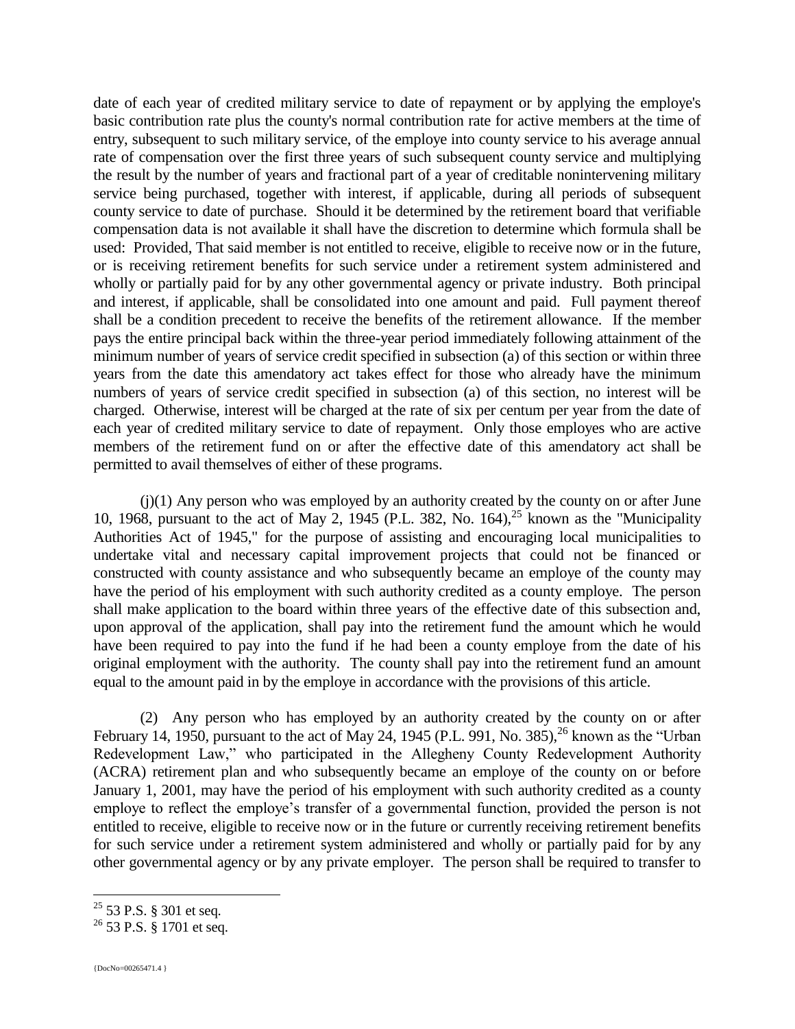date of each year of credited military service to date of repayment or by applying the employe's basic contribution rate plus the county's normal contribution rate for active members at the time of entry, subsequent to such military service, of the employe into county service to his average annual rate of compensation over the first three years of such subsequent county service and multiplying the result by the number of years and fractional part of a year of creditable nonintervening military service being purchased, together with interest, if applicable, during all periods of subsequent county service to date of purchase. Should it be determined by the retirement board that verifiable compensation data is not available it shall have the discretion to determine which formula shall be used: Provided, That said member is not entitled to receive, eligible to receive now or in the future, or is receiving retirement benefits for such service under a retirement system administered and wholly or partially paid for by any other governmental agency or private industry. Both principal and interest, if applicable, shall be consolidated into one amount and paid. Full payment thereof shall be a condition precedent to receive the benefits of the retirement allowance. If the member pays the entire principal back within the three-year period immediately following attainment of the minimum number of years of service credit specified in subsection (a) of this section or within three years from the date this amendatory act takes effect for those who already have the minimum numbers of years of service credit specified in subsection (a) of this section, no interest will be charged. Otherwise, interest will be charged at the rate of six per centum per year from the date of each year of credited military service to date of repayment. Only those employes who are active members of the retirement fund on or after the effective date of this amendatory act shall be permitted to avail themselves of either of these programs.

(j)(1) Any person who was employed by an authority created by the county on or after June 10, 1968, pursuant to the act of May 2, 1945 (P.L. 382, No. 164),  $^{25}$  known as the "Municipality Authorities Act of 1945," for the purpose of assisting and encouraging local municipalities to undertake vital and necessary capital improvement projects that could not be financed or constructed with county assistance and who subsequently became an employe of the county may have the period of his employment with such authority credited as a county employe. The person shall make application to the board within three years of the effective date of this subsection and, upon approval of the application, shall pay into the retirement fund the amount which he would have been required to pay into the fund if he had been a county employe from the date of his original employment with the authority. The county shall pay into the retirement fund an amount equal to the amount paid in by the employe in accordance with the provisions of this article.

(2) Any person who has employed by an authority created by the county on or after February 14, 1950, pursuant to the act of May 24, 1945 (P.L. 991, No. 385),  $^{26}$  known as the "Urban Redevelopment Law," who participated in the Allegheny County Redevelopment Authority (ACRA) retirement plan and who subsequently became an employe of the county on or before January 1, 2001, may have the period of his employment with such authority credited as a county employe to reflect the employe's transfer of a governmental function, provided the person is not entitled to receive, eligible to receive now or in the future or currently receiving retirement benefits for such service under a retirement system administered and wholly or partially paid for by any other governmental agency or by any private employer. The person shall be required to transfer to

 $25$  53 P.S. § 301 et seq.

<sup>&</sup>lt;sup>26</sup> 53 P.S. § 1701 et seq.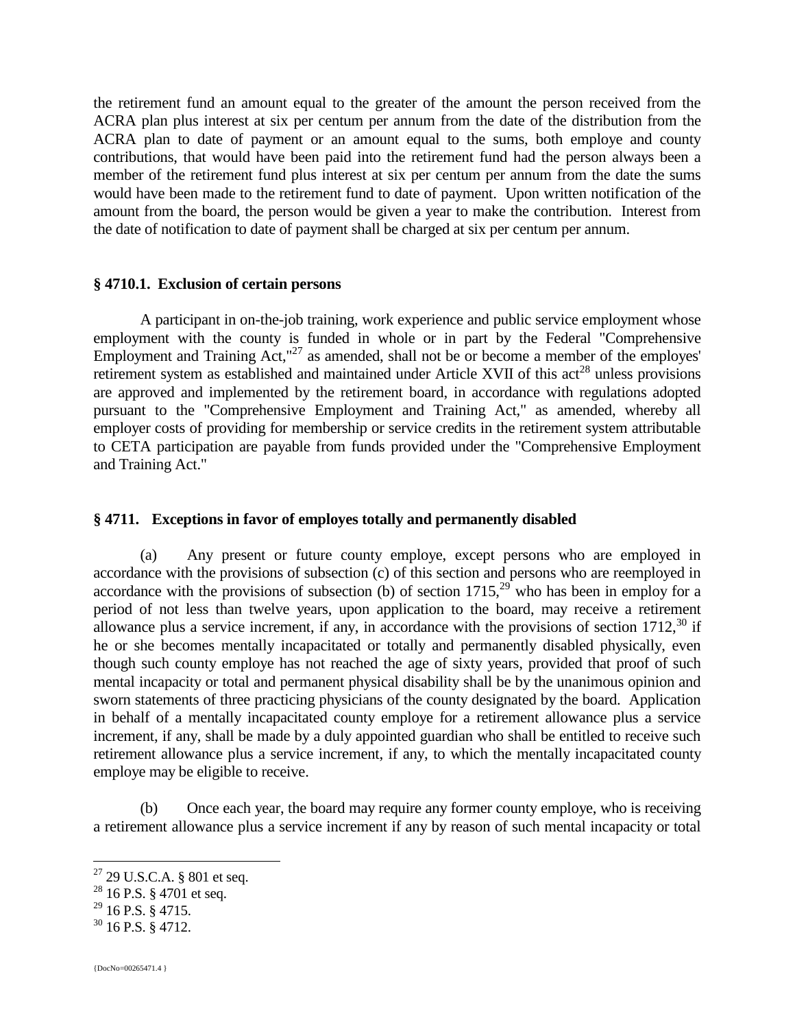the retirement fund an amount equal to the greater of the amount the person received from the ACRA plan plus interest at six per centum per annum from the date of the distribution from the ACRA plan to date of payment or an amount equal to the sums, both employe and county contributions, that would have been paid into the retirement fund had the person always been a member of the retirement fund plus interest at six per centum per annum from the date the sums would have been made to the retirement fund to date of payment. Upon written notification of the amount from the board, the person would be given a year to make the contribution. Interest from the date of notification to date of payment shall be charged at six per centum per annum.

#### **§ 4710.1. Exclusion of certain persons**

A participant in on-the-job training, work experience and public service employment whose employment with the county is funded in whole or in part by the Federal "Comprehensive Employment and Training  $Act, "27$  as amended, shall not be or become a member of the employes' retirement system as established and maintained under Article XVII of this act<sup>28</sup> unless provisions are approved and implemented by the retirement board, in accordance with regulations adopted pursuant to the "Comprehensive Employment and Training Act," as amended, whereby all employer costs of providing for membership or service credits in the retirement system attributable to CETA participation are payable from funds provided under the "Comprehensive Employment and Training Act."

#### **§ 4711. Exceptions in favor of employes totally and permanently disabled**

(a) Any present or future county employe, except persons who are employed in accordance with the provisions of subsection (c) of this section and persons who are reemployed in accordance with the provisions of subsection (b) of section  $1715$ ,  $29$  who has been in employ for a period of not less than twelve years, upon application to the board, may receive a retirement allowance plus a service increment, if any, in accordance with the provisions of section  $1712<sup>30</sup>$  if he or she becomes mentally incapacitated or totally and permanently disabled physically, even though such county employe has not reached the age of sixty years, provided that proof of such mental incapacity or total and permanent physical disability shall be by the unanimous opinion and sworn statements of three practicing physicians of the county designated by the board. Application in behalf of a mentally incapacitated county employe for a retirement allowance plus a service increment, if any, shall be made by a duly appointed guardian who shall be entitled to receive such retirement allowance plus a service increment, if any, to which the mentally incapacitated county employe may be eligible to receive.

(b) Once each year, the board may require any former county employe, who is receiving a retirement allowance plus a service increment if any by reason of such mental incapacity or total

 $^{29}$  16 P.S. § 4715.

 $27$  29 U.S.C.A. § 801 et seq.

<sup>&</sup>lt;sup>28</sup> 16 P.S. § 4701 et seq.

 $30$  16 P.S. § 4712.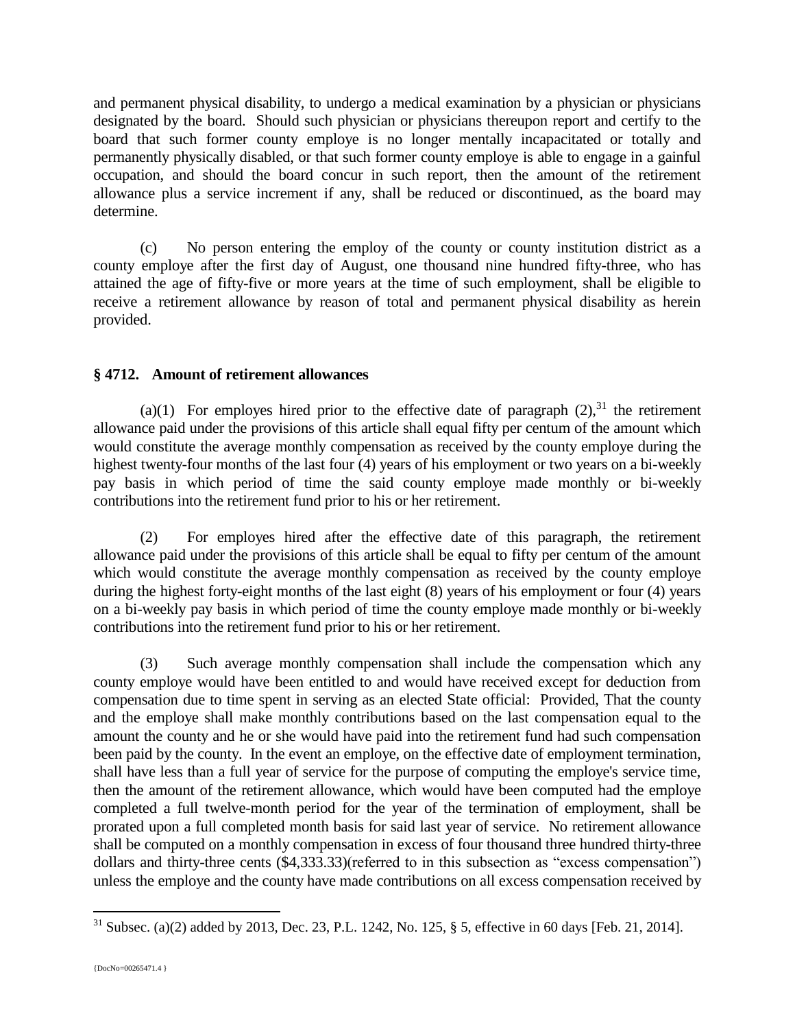and permanent physical disability, to undergo a medical examination by a physician or physicians designated by the board. Should such physician or physicians thereupon report and certify to the board that such former county employe is no longer mentally incapacitated or totally and permanently physically disabled, or that such former county employe is able to engage in a gainful occupation, and should the board concur in such report, then the amount of the retirement allowance plus a service increment if any, shall be reduced or discontinued, as the board may determine.

(c) No person entering the employ of the county or county institution district as a county employe after the first day of August, one thousand nine hundred fifty-three, who has attained the age of fifty-five or more years at the time of such employment, shall be eligible to receive a retirement allowance by reason of total and permanent physical disability as herein provided.

## **§ 4712. Amount of retirement allowances**

(a)(1) For employes hired prior to the effective date of paragraph  $(2)$ ,  $(3)$ <sup>1</sup> the retirement allowance paid under the provisions of this article shall equal fifty per centum of the amount which would constitute the average monthly compensation as received by the county employe during the highest twenty-four months of the last four (4) years of his employment or two years on a bi-weekly pay basis in which period of time the said county employe made monthly or bi-weekly contributions into the retirement fund prior to his or her retirement.

(2) For employes hired after the effective date of this paragraph, the retirement allowance paid under the provisions of this article shall be equal to fifty per centum of the amount which would constitute the average monthly compensation as received by the county employe during the highest forty-eight months of the last eight (8) years of his employment or four (4) years on a bi-weekly pay basis in which period of time the county employe made monthly or bi-weekly contributions into the retirement fund prior to his or her retirement.

(3) Such average monthly compensation shall include the compensation which any county employe would have been entitled to and would have received except for deduction from compensation due to time spent in serving as an elected State official: Provided, That the county and the employe shall make monthly contributions based on the last compensation equal to the amount the county and he or she would have paid into the retirement fund had such compensation been paid by the county. In the event an employe, on the effective date of employment termination, shall have less than a full year of service for the purpose of computing the employe's service time, then the amount of the retirement allowance, which would have been computed had the employe completed a full twelve-month period for the year of the termination of employment, shall be prorated upon a full completed month basis for said last year of service. No retirement allowance shall be computed on a monthly compensation in excess of four thousand three hundred thirty-three dollars and thirty-three cents (\$4,333.33)(referred to in this subsection as "excess compensation") unless the employe and the county have made contributions on all excess compensation received by

<sup>&</sup>lt;sup>31</sup> Subsec. (a)(2) added by 2013, Dec. 23, P.L. 1242, No. 125, § 5, effective in 60 days [Feb. 21, 2014].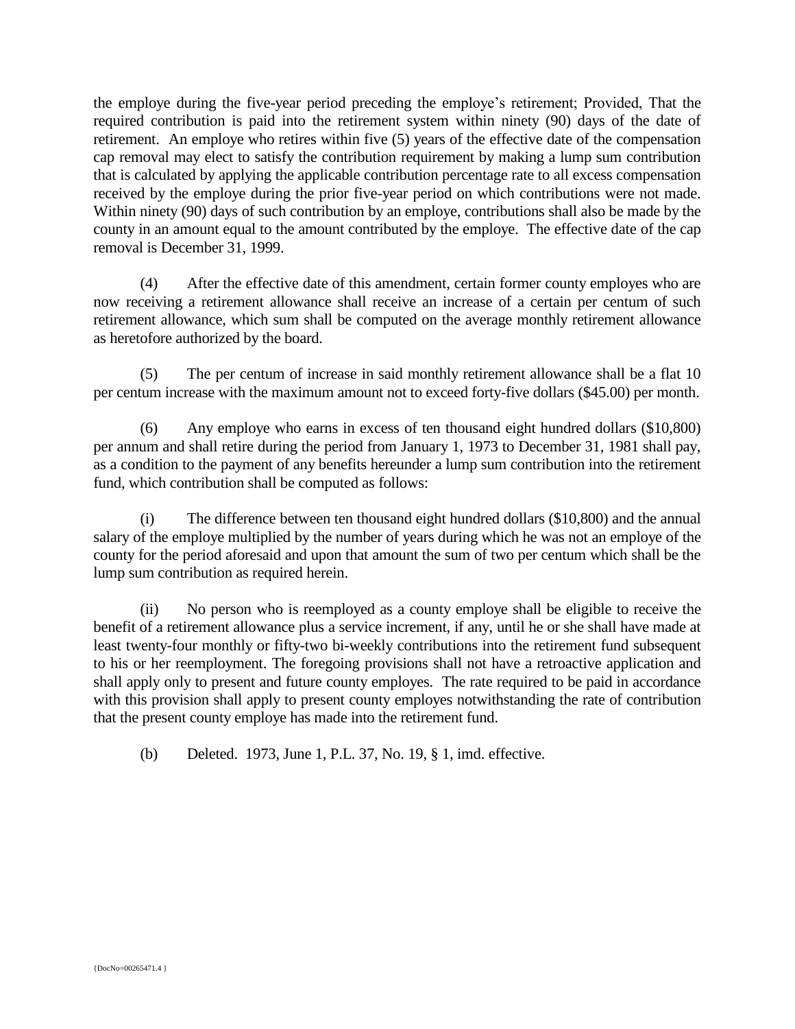the employe during the five-year period preceding the employe's retirement; Provided, That the required contribution is paid into the retirement system within ninety (90) days of the date of retirement. An employe who retires within five (5) years of the effective date of the compensation cap removal may elect to satisfy the contribution requirement by making a lump sum contribution that is calculated by applying the applicable contribution percentage rate to all excess compensation received by the employe during the prior five-year period on which contributions were not made. Within ninety (90) days of such contribution by an employe, contributions shall also be made by the county in an amount equal to the amount contributed by the employe. The effective date of the cap removal is December 31, 1999.

(4) After the effective date of this amendment, certain former county employes who are now receiving a retirement allowance shall receive an increase of a certain per centum of such retirement allowance, which sum shall be computed on the average monthly retirement allowance as heretofore authorized by the board.

(5) The per centum of increase in said monthly retirement allowance shall be a flat 10 per centum increase with the maximum amount not to exceed forty-five dollars (\$45.00) per month.

(6) Any employe who earns in excess of ten thousand eight hundred dollars (\$10,800) per annum and shall retire during the period from January 1, 1973 to December 31, 1981 shall pay, as a condition to the payment of any benefits hereunder a lump sum contribution into the retirement fund, which contribution shall be computed as follows:

(i) The difference between ten thousand eight hundred dollars (\$10,800) and the annual salary of the employe multiplied by the number of years during which he was not an employe of the county for the period aforesaid and upon that amount the sum of two per centum which shall be the lump sum contribution as required herein.

(ii) No person who is reemployed as a county employe shall be eligible to receive the benefit of a retirement allowance plus a service increment, if any, until he or she shall have made at least twenty-four monthly or fifty-two bi-weekly contributions into the retirement fund subsequent to his or her reemployment. The foregoing provisions shall not have a retroactive application and shall apply only to present and future county employes. The rate required to be paid in accordance with this provision shall apply to present county employes notwithstanding the rate of contribution that the present county employe has made into the retirement fund.

(b) Deleted. 1973, June 1, P.L. 37, No. 19, § 1, imd. effective.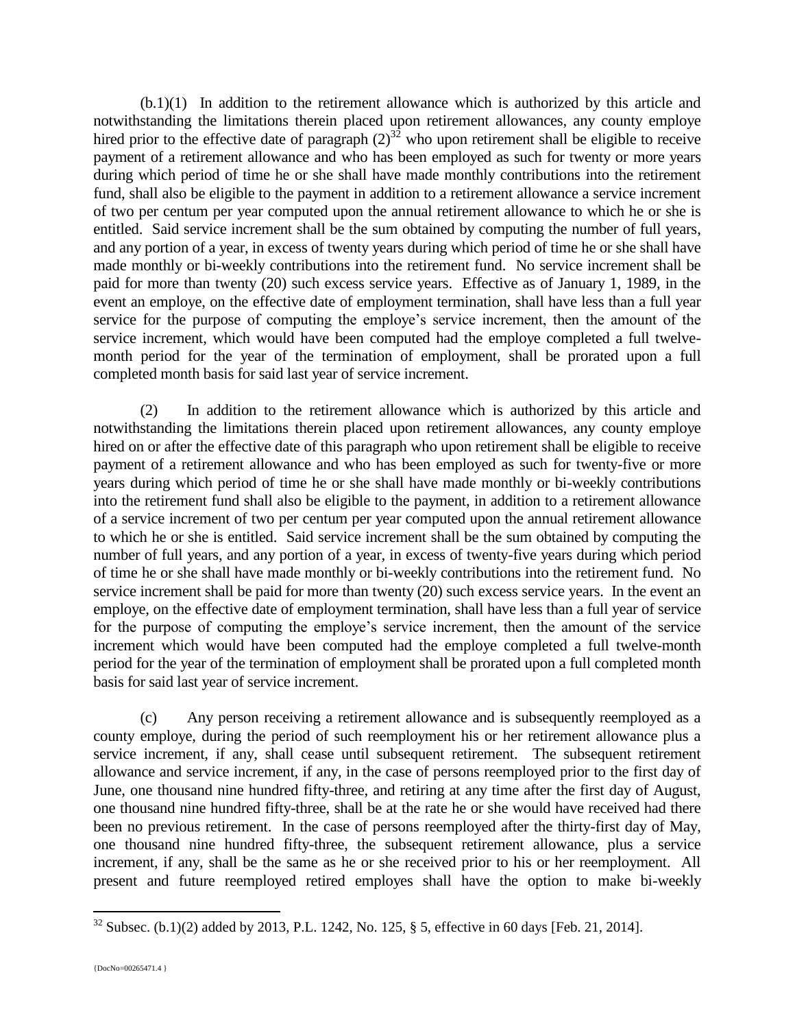(b.1)(1) In addition to the retirement allowance which is authorized by this article and notwithstanding the limitations therein placed upon retirement allowances, any county employe hired prior to the effective date of paragraph  $(2)^{32}$  who upon retirement shall be eligible to receive payment of a retirement allowance and who has been employed as such for twenty or more years during which period of time he or she shall have made monthly contributions into the retirement fund, shall also be eligible to the payment in addition to a retirement allowance a service increment of two per centum per year computed upon the annual retirement allowance to which he or she is entitled. Said service increment shall be the sum obtained by computing the number of full years, and any portion of a year, in excess of twenty years during which period of time he or she shall have made monthly or bi-weekly contributions into the retirement fund. No service increment shall be paid for more than twenty (20) such excess service years. Effective as of January 1, 1989, in the event an employe, on the effective date of employment termination, shall have less than a full year service for the purpose of computing the employe's service increment, then the amount of the service increment, which would have been computed had the employe completed a full twelvemonth period for the year of the termination of employment, shall be prorated upon a full completed month basis for said last year of service increment.

(2) In addition to the retirement allowance which is authorized by this article and notwithstanding the limitations therein placed upon retirement allowances, any county employe hired on or after the effective date of this paragraph who upon retirement shall be eligible to receive payment of a retirement allowance and who has been employed as such for twenty-five or more years during which period of time he or she shall have made monthly or bi-weekly contributions into the retirement fund shall also be eligible to the payment, in addition to a retirement allowance of a service increment of two per centum per year computed upon the annual retirement allowance to which he or she is entitled. Said service increment shall be the sum obtained by computing the number of full years, and any portion of a year, in excess of twenty-five years during which period of time he or she shall have made monthly or bi-weekly contributions into the retirement fund. No service increment shall be paid for more than twenty (20) such excess service years. In the event an employe, on the effective date of employment termination, shall have less than a full year of service for the purpose of computing the employe's service increment, then the amount of the service increment which would have been computed had the employe completed a full twelve-month period for the year of the termination of employment shall be prorated upon a full completed month basis for said last year of service increment.

(c) Any person receiving a retirement allowance and is subsequently reemployed as a county employe, during the period of such reemployment his or her retirement allowance plus a service increment, if any, shall cease until subsequent retirement. The subsequent retirement allowance and service increment, if any, in the case of persons reemployed prior to the first day of June, one thousand nine hundred fifty-three, and retiring at any time after the first day of August, one thousand nine hundred fifty-three, shall be at the rate he or she would have received had there been no previous retirement. In the case of persons reemployed after the thirty-first day of May, one thousand nine hundred fifty-three, the subsequent retirement allowance, plus a service increment, if any, shall be the same as he or she received prior to his or her reemployment. All present and future reemployed retired employes shall have the option to make bi-weekly

<sup>32</sup> Subsec. (b.1)(2) added by 2013, P.L. 1242, No. 125, § 5, effective in 60 days [Feb. 21, 2014].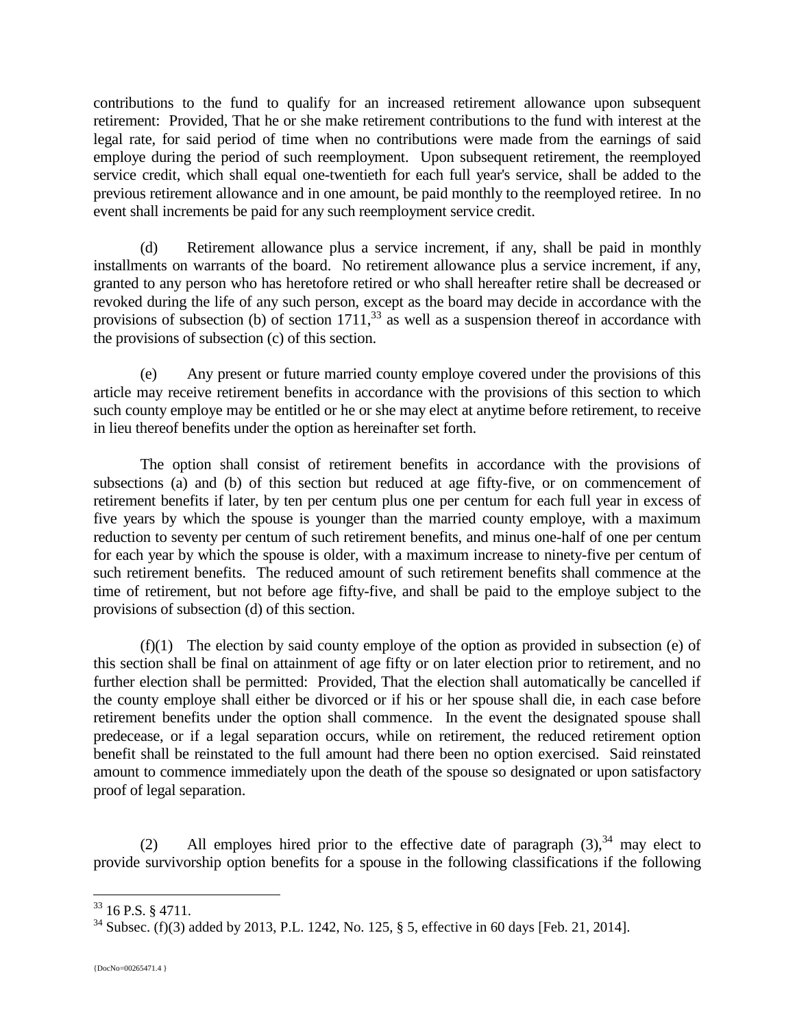contributions to the fund to qualify for an increased retirement allowance upon subsequent retirement: Provided, That he or she make retirement contributions to the fund with interest at the legal rate, for said period of time when no contributions were made from the earnings of said employe during the period of such reemployment. Upon subsequent retirement, the reemployed service credit, which shall equal one-twentieth for each full year's service, shall be added to the previous retirement allowance and in one amount, be paid monthly to the reemployed retiree. In no event shall increments be paid for any such reemployment service credit.

(d) Retirement allowance plus a service increment, if any, shall be paid in monthly installments on warrants of the board. No retirement allowance plus a service increment, if any, granted to any person who has heretofore retired or who shall hereafter retire shall be decreased or revoked during the life of any such person, except as the board may decide in accordance with the provisions of subsection (b) of section  $1711<sup>33</sup>$  as well as a suspension thereof in accordance with the provisions of subsection (c) of this section.

(e) Any present or future married county employe covered under the provisions of this article may receive retirement benefits in accordance with the provisions of this section to which such county employe may be entitled or he or she may elect at anytime before retirement, to receive in lieu thereof benefits under the option as hereinafter set forth.

The option shall consist of retirement benefits in accordance with the provisions of subsections (a) and (b) of this section but reduced at age fifty-five, or on commencement of retirement benefits if later, by ten per centum plus one per centum for each full year in excess of five years by which the spouse is younger than the married county employe, with a maximum reduction to seventy per centum of such retirement benefits, and minus one-half of one per centum for each year by which the spouse is older, with a maximum increase to ninety-five per centum of such retirement benefits. The reduced amount of such retirement benefits shall commence at the time of retirement, but not before age fifty-five, and shall be paid to the employe subject to the provisions of subsection (d) of this section.

(f)(1) The election by said county employe of the option as provided in subsection (e) of this section shall be final on attainment of age fifty or on later election prior to retirement, and no further election shall be permitted: Provided, That the election shall automatically be cancelled if the county employe shall either be divorced or if his or her spouse shall die, in each case before retirement benefits under the option shall commence. In the event the designated spouse shall predecease, or if a legal separation occurs, while on retirement, the reduced retirement option benefit shall be reinstated to the full amount had there been no option exercised. Said reinstated amount to commence immediately upon the death of the spouse so designated or upon satisfactory proof of legal separation.

(2) All employes hired prior to the effective date of paragraph  $(3)$ ,  $34$  may elect to provide survivorship option benefits for a spouse in the following classifications if the following

 $33$  16 P.S. § 4711.

<sup>34</sup> Subsec. (f)(3) added by 2013, P.L. 1242, No. 125, § 5, effective in 60 days [Feb. 21, 2014].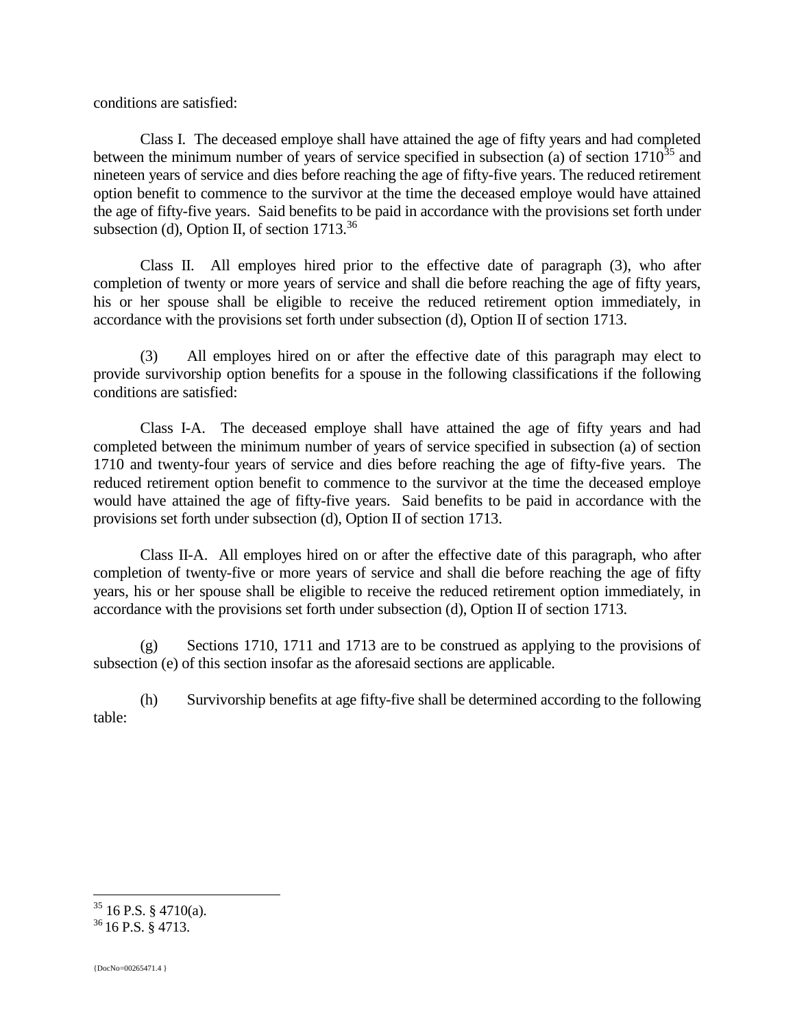conditions are satisfied:

Class I. The deceased employe shall have attained the age of fifty years and had completed between the minimum number of years of service specified in subsection (a) of section  $1710^{35}$  and nineteen years of service and dies before reaching the age of fifty-five years. The reduced retirement option benefit to commence to the survivor at the time the deceased employe would have attained the age of fifty-five years. Said benefits to be paid in accordance with the provisions set forth under subsection (d), Option II, of section  $1713^{36}$ 

Class II. All employes hired prior to the effective date of paragraph (3), who after completion of twenty or more years of service and shall die before reaching the age of fifty years, his or her spouse shall be eligible to receive the reduced retirement option immediately, in accordance with the provisions set forth under subsection (d), Option II of section 1713.

(3) All employes hired on or after the effective date of this paragraph may elect to provide survivorship option benefits for a spouse in the following classifications if the following conditions are satisfied:

Class I-A. The deceased employe shall have attained the age of fifty years and had completed between the minimum number of years of service specified in subsection (a) of section 1710 and twenty-four years of service and dies before reaching the age of fifty-five years. The reduced retirement option benefit to commence to the survivor at the time the deceased employe would have attained the age of fifty-five years. Said benefits to be paid in accordance with the provisions set forth under subsection (d), Option II of section 1713.

Class II-A. All employes hired on or after the effective date of this paragraph, who after completion of twenty-five or more years of service and shall die before reaching the age of fifty years, his or her spouse shall be eligible to receive the reduced retirement option immediately, in accordance with the provisions set forth under subsection (d), Option II of section 1713.

(g) Sections 1710, 1711 and 1713 are to be construed as applying to the provisions of subsection (e) of this section insofar as the aforesaid sections are applicable.

(h) Survivorship benefits at age fifty-five shall be determined according to the following table:

 $35$  16 P.S. § 4710(a).

<sup>36</sup> 16 P.S. § 4713.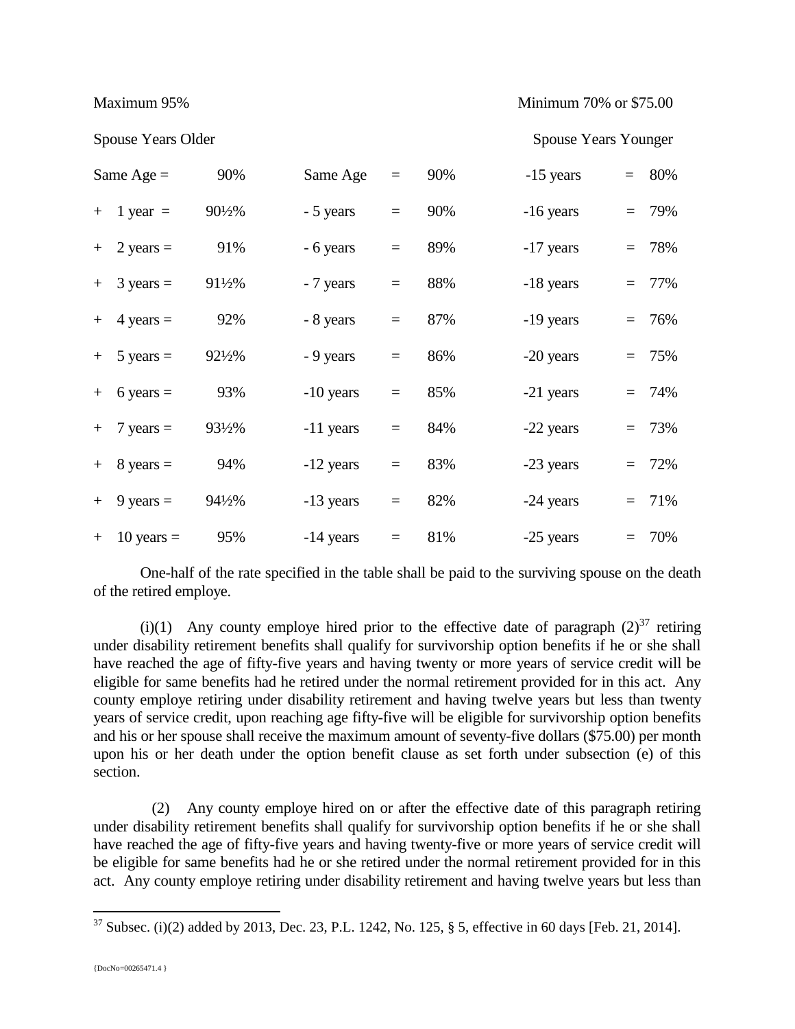Maximum 95% Minimum 70% or \$75.00

|     | Same Age $=$          | 90%    | Same Age    | $\equiv$ | 90% | -15 years   | $= 80\%$ |
|-----|-----------------------|--------|-------------|----------|-----|-------------|----------|
| $+$ | 1 year $=$            | 901/2% | - 5 years   | $\equiv$ | 90% | $-16$ years | $= 79%$  |
|     | $+$ 2 years =         | 91%    | - 6 years   | $=$      | 89% | $-17$ years | $= 78%$  |
|     | $+$ 3 years =         | 91½%   | - 7 years   | $=$      | 88% | -18 years   | $= 77\%$ |
|     | $+$ 4 years =         | 92%    | - 8 years   | $=$      | 87% | -19 years   | $= 76%$  |
|     | $+ 5 \text{ years} =$ | 92½%   | - 9 years   | $=$      | 86% | -20 years   | $= 75%$  |
|     | $+ 6 \text{ years} =$ | 93%    | -10 years   | $=$      | 85% | -21 years   | $= 74%$  |
|     | $+$ 7 years =         | 93½%   | -11 years   | $=$      | 84% | -22 years   | $= 73%$  |
|     | $+$ 8 years $=$       | 94%    | -12 years   | $=$      | 83% | -23 years   | $= 72%$  |
| $+$ | 9 years $=$           | 94½%   | -13 years   | $=$      | 82% | -24 years   | $= 71\%$ |
| $+$ | $10$ years $=$        | 95%    | $-14$ years | $=$      | 81% | -25 years   | $= 70%$  |

Spouse Years Older Spouse Years Younger

One-half of the rate specified in the table shall be paid to the surviving spouse on the death of the retired employe.

(i)(1) Any county employe hired prior to the effective date of paragraph  $(2)^{37}$  retiring under disability retirement benefits shall qualify for survivorship option benefits if he or she shall have reached the age of fifty-five years and having twenty or more years of service credit will be eligible for same benefits had he retired under the normal retirement provided for in this act. Any county employe retiring under disability retirement and having twelve years but less than twenty years of service credit, upon reaching age fifty-five will be eligible for survivorship option benefits and his or her spouse shall receive the maximum amount of seventy-five dollars (\$75.00) per month upon his or her death under the option benefit clause as set forth under subsection (e) of this section.

(2) Any county employe hired on or after the effective date of this paragraph retiring under disability retirement benefits shall qualify for survivorship option benefits if he or she shall have reached the age of fifty-five years and having twenty-five or more years of service credit will be eligible for same benefits had he or she retired under the normal retirement provided for in this act. Any county employe retiring under disability retirement and having twelve years but less than

 $37$  Subsec. (i)(2) added by 2013, Dec. 23, P.L. 1242, No. 125, § 5, effective in 60 days [Feb. 21, 2014].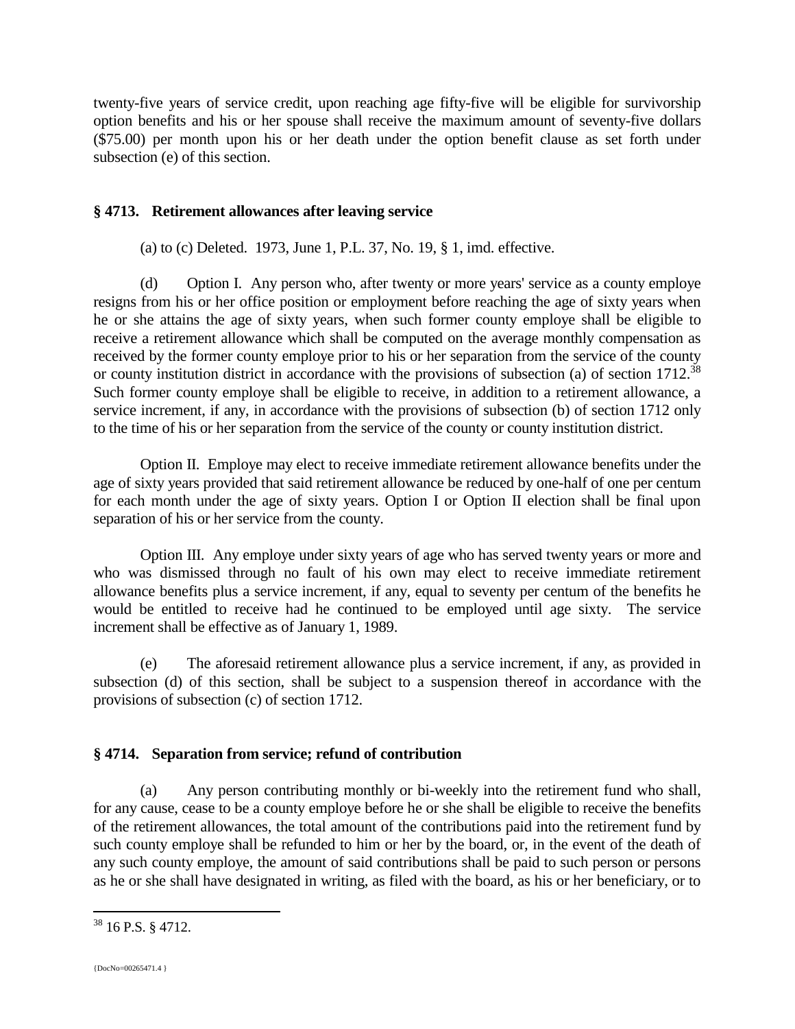twenty-five years of service credit, upon reaching age fifty-five will be eligible for survivorship option benefits and his or her spouse shall receive the maximum amount of seventy-five dollars (\$75.00) per month upon his or her death under the option benefit clause as set forth under subsection (e) of this section.

## **§ 4713. Retirement allowances after leaving service**

(a) to (c) Deleted. 1973, June 1, P.L. 37, No. 19, § 1, imd. effective.

(d) Option I. Any person who, after twenty or more years' service as a county employe resigns from his or her office position or employment before reaching the age of sixty years when he or she attains the age of sixty years, when such former county employe shall be eligible to receive a retirement allowance which shall be computed on the average monthly compensation as received by the former county employe prior to his or her separation from the service of the county or county institution district in accordance with the provisions of subsection (a) of section 1712.<sup>38</sup> Such former county employe shall be eligible to receive, in addition to a retirement allowance, a service increment, if any, in accordance with the provisions of subsection (b) of section 1712 only to the time of his or her separation from the service of the county or county institution district.

Option II. Employe may elect to receive immediate retirement allowance benefits under the age of sixty years provided that said retirement allowance be reduced by one-half of one per centum for each month under the age of sixty years. Option I or Option II election shall be final upon separation of his or her service from the county.

Option III. Any employe under sixty years of age who has served twenty years or more and who was dismissed through no fault of his own may elect to receive immediate retirement allowance benefits plus a service increment, if any, equal to seventy per centum of the benefits he would be entitled to receive had he continued to be employed until age sixty. The service increment shall be effective as of January 1, 1989.

(e) The aforesaid retirement allowance plus a service increment, if any, as provided in subsection (d) of this section, shall be subject to a suspension thereof in accordance with the provisions of subsection (c) of section 1712.

## **§ 4714. Separation from service; refund of contribution**

(a) Any person contributing monthly or bi-weekly into the retirement fund who shall, for any cause, cease to be a county employe before he or she shall be eligible to receive the benefits of the retirement allowances, the total amount of the contributions paid into the retirement fund by such county employe shall be refunded to him or her by the board, or, in the event of the death of any such county employe, the amount of said contributions shall be paid to such person or persons as he or she shall have designated in writing, as filed with the board, as his or her beneficiary, or to

<sup>38</sup> 16 P.S. § 4712.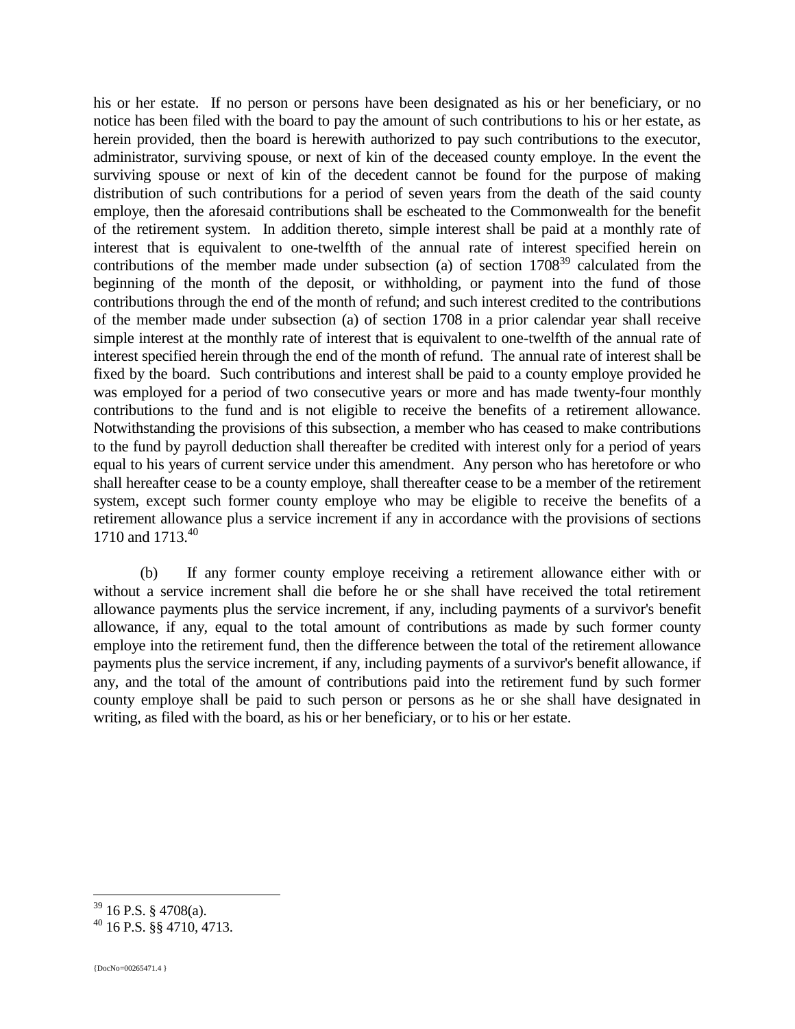his or her estate. If no person or persons have been designated as his or her beneficiary, or no notice has been filed with the board to pay the amount of such contributions to his or her estate, as herein provided, then the board is herewith authorized to pay such contributions to the executor, administrator, surviving spouse, or next of kin of the deceased county employe. In the event the surviving spouse or next of kin of the decedent cannot be found for the purpose of making distribution of such contributions for a period of seven years from the death of the said county employe, then the aforesaid contributions shall be escheated to the Commonwealth for the benefit of the retirement system. In addition thereto, simple interest shall be paid at a monthly rate of interest that is equivalent to one-twelfth of the annual rate of interest specified herein on contributions of the member made under subsection (a) of section  $1708<sup>39</sup>$  calculated from the beginning of the month of the deposit, or withholding, or payment into the fund of those contributions through the end of the month of refund; and such interest credited to the contributions of the member made under subsection (a) of section 1708 in a prior calendar year shall receive simple interest at the monthly rate of interest that is equivalent to one-twelfth of the annual rate of interest specified herein through the end of the month of refund. The annual rate of interest shall be fixed by the board. Such contributions and interest shall be paid to a county employe provided he was employed for a period of two consecutive years or more and has made twenty-four monthly contributions to the fund and is not eligible to receive the benefits of a retirement allowance. Notwithstanding the provisions of this subsection, a member who has ceased to make contributions to the fund by payroll deduction shall thereafter be credited with interest only for a period of years equal to his years of current service under this amendment. Any person who has heretofore or who shall hereafter cease to be a county employe, shall thereafter cease to be a member of the retirement system, except such former county employe who may be eligible to receive the benefits of a retirement allowance plus a service increment if any in accordance with the provisions of sections 1710 and 1713.<sup>40</sup>

(b) If any former county employe receiving a retirement allowance either with or without a service increment shall die before he or she shall have received the total retirement allowance payments plus the service increment, if any, including payments of a survivor's benefit allowance, if any, equal to the total amount of contributions as made by such former county employe into the retirement fund, then the difference between the total of the retirement allowance payments plus the service increment, if any, including payments of a survivor's benefit allowance, if any, and the total of the amount of contributions paid into the retirement fund by such former county employe shall be paid to such person or persons as he or she shall have designated in writing, as filed with the board, as his or her beneficiary, or to his or her estate.

 $39$  16 P.S. § 4708(a).

<sup>40</sup> 16 P.S. §§ 4710, 4713.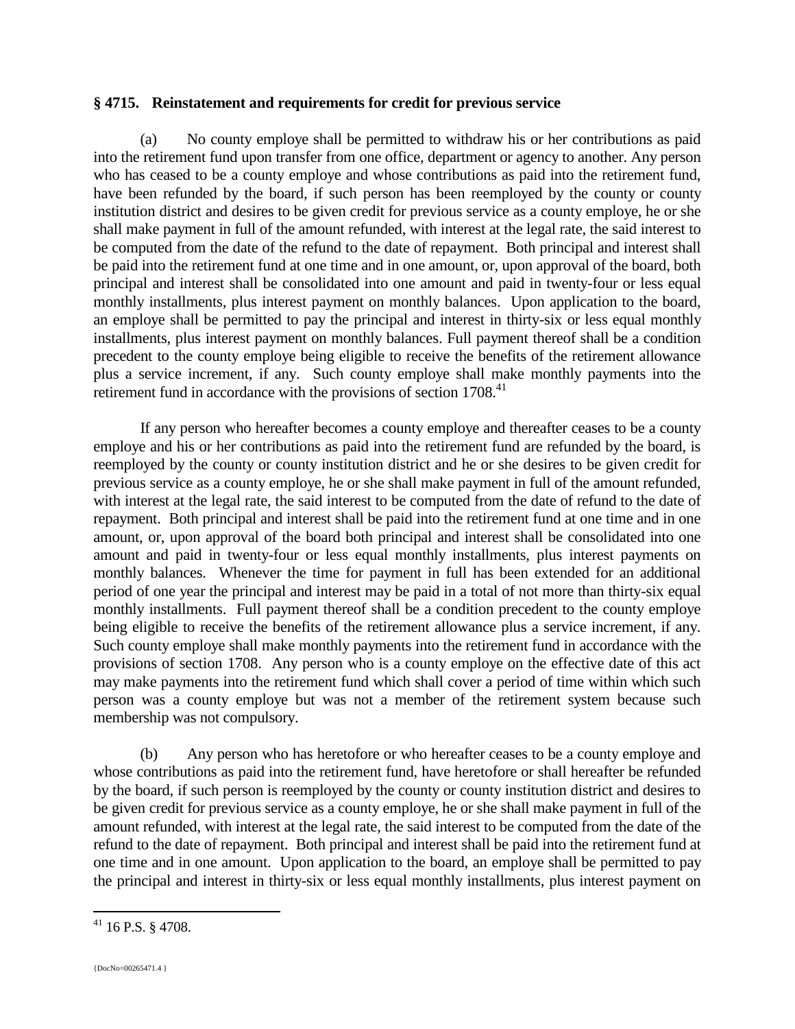### **§ 4715. Reinstatement and requirements for credit for previous service**

(a) No county employe shall be permitted to withdraw his or her contributions as paid into the retirement fund upon transfer from one office, department or agency to another. Any person who has ceased to be a county employe and whose contributions as paid into the retirement fund, have been refunded by the board, if such person has been reemployed by the county or county institution district and desires to be given credit for previous service as a county employe, he or she shall make payment in full of the amount refunded, with interest at the legal rate, the said interest to be computed from the date of the refund to the date of repayment. Both principal and interest shall be paid into the retirement fund at one time and in one amount, or, upon approval of the board, both principal and interest shall be consolidated into one amount and paid in twenty-four or less equal monthly installments, plus interest payment on monthly balances. Upon application to the board, an employe shall be permitted to pay the principal and interest in thirty-six or less equal monthly installments, plus interest payment on monthly balances. Full payment thereof shall be a condition precedent to the county employe being eligible to receive the benefits of the retirement allowance plus a service increment, if any. Such county employe shall make monthly payments into the retirement fund in accordance with the provisions of section 1708.<sup>41</sup>

If any person who hereafter becomes a county employe and thereafter ceases to be a county employe and his or her contributions as paid into the retirement fund are refunded by the board, is reemployed by the county or county institution district and he or she desires to be given credit for previous service as a county employe, he or she shall make payment in full of the amount refunded, with interest at the legal rate, the said interest to be computed from the date of refund to the date of repayment. Both principal and interest shall be paid into the retirement fund at one time and in one amount, or, upon approval of the board both principal and interest shall be consolidated into one amount and paid in twenty-four or less equal monthly installments, plus interest payments on monthly balances. Whenever the time for payment in full has been extended for an additional period of one year the principal and interest may be paid in a total of not more than thirty-six equal monthly installments. Full payment thereof shall be a condition precedent to the county employe being eligible to receive the benefits of the retirement allowance plus a service increment, if any. Such county employe shall make monthly payments into the retirement fund in accordance with the provisions of section 1708. Any person who is a county employe on the effective date of this act may make payments into the retirement fund which shall cover a period of time within which such person was a county employe but was not a member of the retirement system because such membership was not compulsory.

(b) Any person who has heretofore or who hereafter ceases to be a county employe and whose contributions as paid into the retirement fund, have heretofore or shall hereafter be refunded by the board, if such person is reemployed by the county or county institution district and desires to be given credit for previous service as a county employe, he or she shall make payment in full of the amount refunded, with interest at the legal rate, the said interest to be computed from the date of the refund to the date of repayment. Both principal and interest shall be paid into the retirement fund at one time and in one amount. Upon application to the board, an employe shall be permitted to pay the principal and interest in thirty-six or less equal monthly installments, plus interest payment on

<sup>41</sup> 16 P.S. § 4708.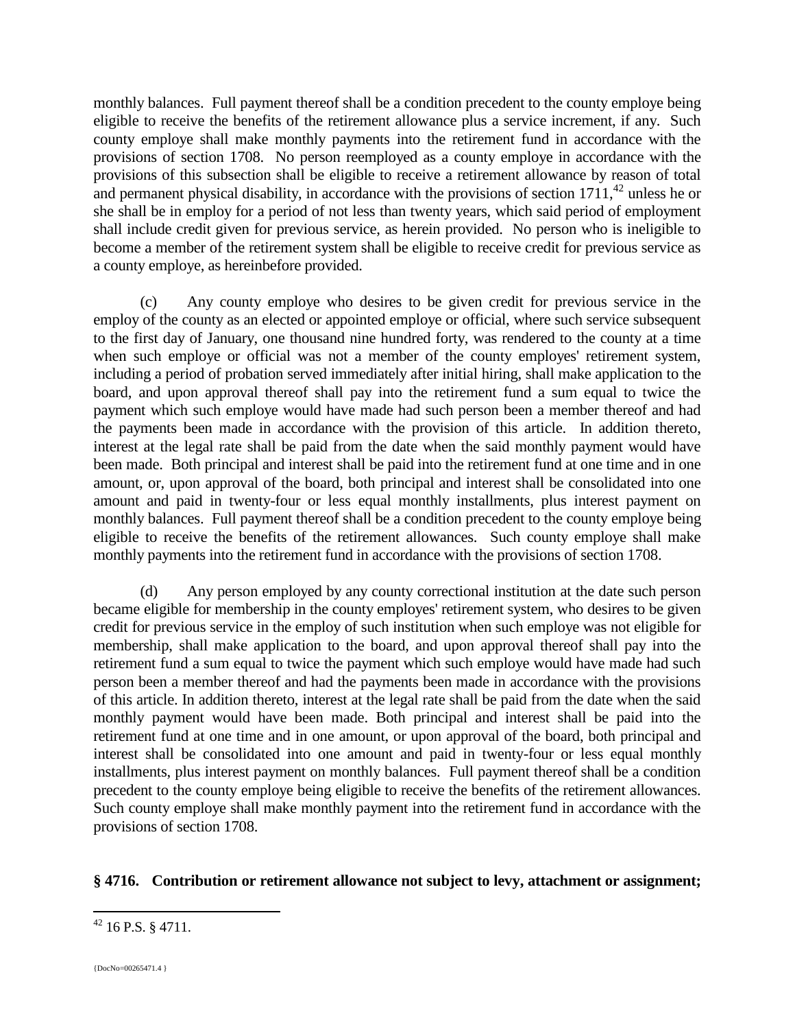monthly balances. Full payment thereof shall be a condition precedent to the county employe being eligible to receive the benefits of the retirement allowance plus a service increment, if any. Such county employe shall make monthly payments into the retirement fund in accordance with the provisions of section 1708. No person reemployed as a county employe in accordance with the provisions of this subsection shall be eligible to receive a retirement allowance by reason of total and permanent physical disability, in accordance with the provisions of section  $1711$ ,<sup>42</sup> unless he or she shall be in employ for a period of not less than twenty years, which said period of employment shall include credit given for previous service, as herein provided. No person who is ineligible to become a member of the retirement system shall be eligible to receive credit for previous service as a county employe, as hereinbefore provided.

(c) Any county employe who desires to be given credit for previous service in the employ of the county as an elected or appointed employe or official, where such service subsequent to the first day of January, one thousand nine hundred forty, was rendered to the county at a time when such employe or official was not a member of the county employes' retirement system, including a period of probation served immediately after initial hiring, shall make application to the board, and upon approval thereof shall pay into the retirement fund a sum equal to twice the payment which such employe would have made had such person been a member thereof and had the payments been made in accordance with the provision of this article. In addition thereto, interest at the legal rate shall be paid from the date when the said monthly payment would have been made. Both principal and interest shall be paid into the retirement fund at one time and in one amount, or, upon approval of the board, both principal and interest shall be consolidated into one amount and paid in twenty-four or less equal monthly installments, plus interest payment on monthly balances. Full payment thereof shall be a condition precedent to the county employe being eligible to receive the benefits of the retirement allowances. Such county employe shall make monthly payments into the retirement fund in accordance with the provisions of section 1708.

(d) Any person employed by any county correctional institution at the date such person became eligible for membership in the county employes' retirement system, who desires to be given credit for previous service in the employ of such institution when such employe was not eligible for membership, shall make application to the board, and upon approval thereof shall pay into the retirement fund a sum equal to twice the payment which such employe would have made had such person been a member thereof and had the payments been made in accordance with the provisions of this article. In addition thereto, interest at the legal rate shall be paid from the date when the said monthly payment would have been made. Both principal and interest shall be paid into the retirement fund at one time and in one amount, or upon approval of the board, both principal and interest shall be consolidated into one amount and paid in twenty-four or less equal monthly installments, plus interest payment on monthly balances. Full payment thereof shall be a condition precedent to the county employe being eligible to receive the benefits of the retirement allowances. Such county employe shall make monthly payment into the retirement fund in accordance with the provisions of section 1708.

## **§ 4716. Contribution or retirement allowance not subject to levy, attachment or assignment;**

 $42$  16 P.S. § 4711.